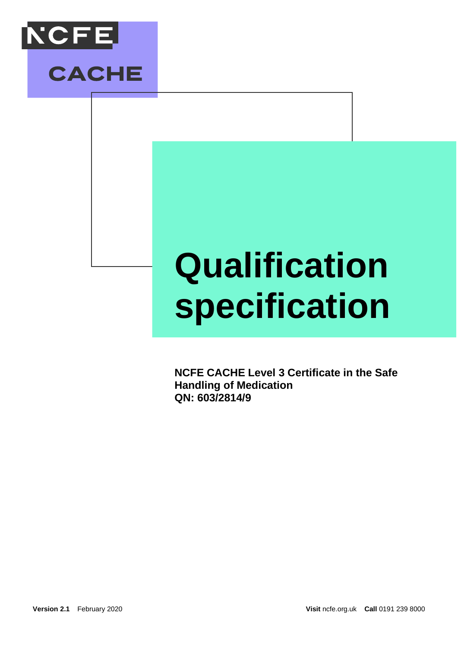

**CACHE** 

# **Qualification specification**

**NCFE CACHE Level 3 Certificate in the Safe Handling of Medication QN: 603/2814/9**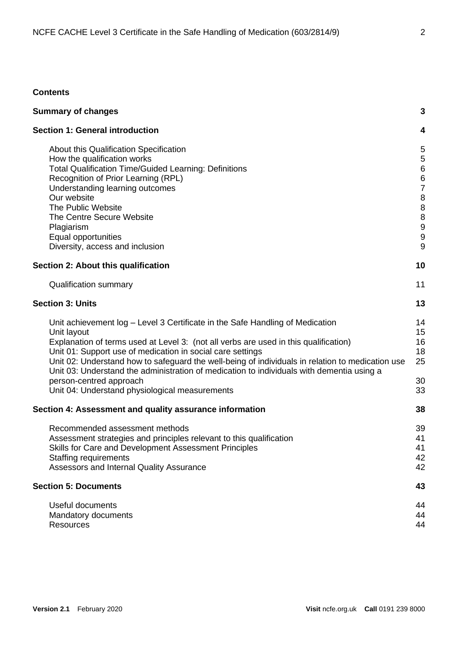# **Contents**

| <b>Summary of changes</b>                                                                                                                                                                                                                                                                                                                                                                                                                                                                                                        | 3                                                                               |
|----------------------------------------------------------------------------------------------------------------------------------------------------------------------------------------------------------------------------------------------------------------------------------------------------------------------------------------------------------------------------------------------------------------------------------------------------------------------------------------------------------------------------------|---------------------------------------------------------------------------------|
| <b>Section 1: General introduction</b>                                                                                                                                                                                                                                                                                                                                                                                                                                                                                           | 4                                                                               |
| About this Qualification Specification<br>How the qualification works<br><b>Total Qualification Time/Guided Learning: Definitions</b><br>Recognition of Prior Learning (RPL)<br>Understanding learning outcomes<br>Our website<br>The Public Website<br>The Centre Secure Website<br>Plagiarism<br>Equal opportunities<br>Diversity, access and inclusion                                                                                                                                                                        | 5<br>5<br>$\boldsymbol{6}$<br>6<br>$\overline{7}$<br>8<br>8<br>8<br>9<br>9<br>9 |
| Section 2: About this qualification                                                                                                                                                                                                                                                                                                                                                                                                                                                                                              | 10                                                                              |
| <b>Qualification summary</b>                                                                                                                                                                                                                                                                                                                                                                                                                                                                                                     | 11                                                                              |
| <b>Section 3: Units</b>                                                                                                                                                                                                                                                                                                                                                                                                                                                                                                          | 13                                                                              |
| Unit achievement log – Level 3 Certificate in the Safe Handling of Medication<br>Unit layout<br>Explanation of terms used at Level 3: (not all verbs are used in this qualification)<br>Unit 01: Support use of medication in social care settings<br>Unit 02: Understand how to safeguard the well-being of individuals in relation to medication use<br>Unit 03: Understand the administration of medication to individuals with dementia using a<br>person-centred approach<br>Unit 04: Understand physiological measurements | 14<br>15<br>16<br>18<br>25<br>30<br>33                                          |
| Section 4: Assessment and quality assurance information                                                                                                                                                                                                                                                                                                                                                                                                                                                                          | 38                                                                              |
| Recommended assessment methods<br>Assessment strategies and principles relevant to this qualification<br>Skills for Care and Development Assessment Principles<br><b>Staffing requirements</b><br>Assessors and Internal Quality Assurance                                                                                                                                                                                                                                                                                       | 39<br>41<br>41<br>42<br>42                                                      |
| <b>Section 5: Documents</b>                                                                                                                                                                                                                                                                                                                                                                                                                                                                                                      | 43                                                                              |
| Useful documents<br>Mandatory documents<br><b>Resources</b>                                                                                                                                                                                                                                                                                                                                                                                                                                                                      | 44<br>44<br>44                                                                  |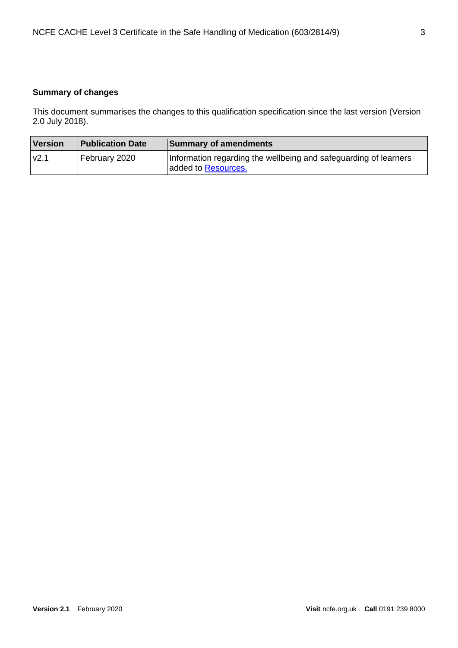# <span id="page-2-0"></span>**Summary of changes**

This document summarises the changes to this qualification specification since the last version (Version 2.0 July 2018).

| <b>Version</b> | <b>Publication Date</b> | Summary of amendments                                                                   |
|----------------|-------------------------|-----------------------------------------------------------------------------------------|
| v2.1           | February 2020           | Information regarding the wellbeing and safeguarding of learners<br>added to Resources. |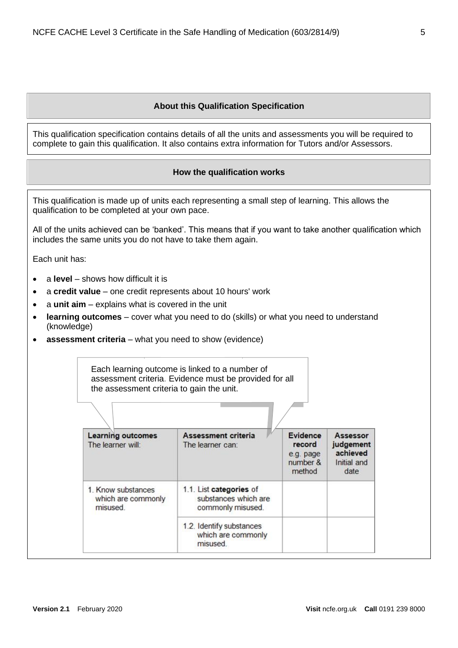# **About this Qualification Specification**

<span id="page-4-1"></span><span id="page-4-0"></span>This qualification specification contains details of all the units and assessments you will be required to complete to gain this qualification. It also contains extra information for Tutors and/or Assessors.

# **How the qualification works**

| This qualification is made up of units each representing a small step of learning. This allows the<br>qualification to be completed at your own pace. |                                                                                                                                                                                                                                                                                                                                  |                                                                                                            |                                                       |                                                          |  |  |
|-------------------------------------------------------------------------------------------------------------------------------------------------------|----------------------------------------------------------------------------------------------------------------------------------------------------------------------------------------------------------------------------------------------------------------------------------------------------------------------------------|------------------------------------------------------------------------------------------------------------|-------------------------------------------------------|----------------------------------------------------------|--|--|
|                                                                                                                                                       | includes the same units you do not have to take them again.                                                                                                                                                                                                                                                                      | All of the units achieved can be 'banked'. This means that if you want to take another qualification which |                                                       |                                                          |  |  |
| Each unit has:                                                                                                                                        |                                                                                                                                                                                                                                                                                                                                  |                                                                                                            |                                                       |                                                          |  |  |
| ٠<br>$\bullet$<br>$\bullet$                                                                                                                           | a level – shows how difficult it is<br>a credit value – one credit represents about 10 hours' work<br>a unit aim - explains what is covered in the unit<br><b>learning outcomes</b> – cover what you need to do (skills) or what you need to understand<br>(knowledge)<br>assessment criteria - what you need to show (evidence) |                                                                                                            |                                                       |                                                          |  |  |
|                                                                                                                                                       | Each learning outcome is linked to a number of<br>assessment criteria. Evidence must be provided for all<br>the assessment criteria to gain the unit.                                                                                                                                                                            |                                                                                                            |                                                       |                                                          |  |  |
|                                                                                                                                                       | <b>Learning outcomes</b><br>The learner will:                                                                                                                                                                                                                                                                                    | Assessment criteria<br>The learner can:                                                                    | Evidence<br>record<br>e.g. page<br>number &<br>method | Assessor<br>judgement<br>achieved<br>Initial and<br>date |  |  |
|                                                                                                                                                       | 1.1. List categories of<br>1. Know substances<br>substances which are<br>which are commonly<br>misused.<br>commonly misused.                                                                                                                                                                                                     |                                                                                                            |                                                       |                                                          |  |  |
|                                                                                                                                                       | 1.2. Identify substances<br>which are commonly<br>misused.                                                                                                                                                                                                                                                                       |                                                                                                            |                                                       |                                                          |  |  |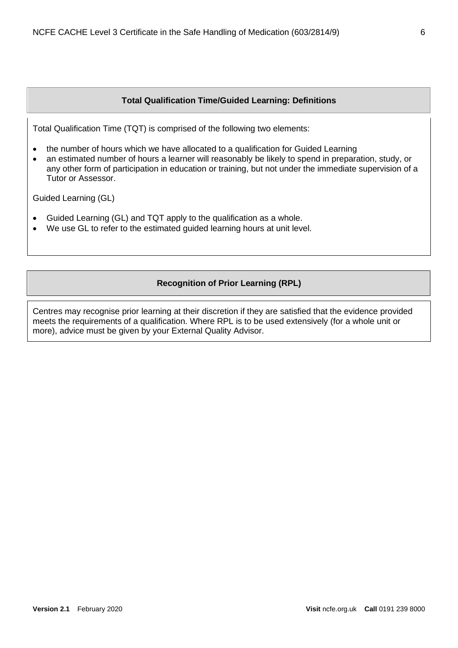# **Total Qualification Time/Guided Learning: Definitions**

<span id="page-5-0"></span>Total Qualification Time (TQT) is comprised of the following two elements:

- the number of hours which we have allocated to a qualification for Guided Learning
- an estimated number of hours a learner will reasonably be likely to spend in preparation, study, or any other form of participation in education or training, but not under the immediate supervision of a Tutor or Assessor.

Guided Learning (GL)

- Guided Learning (GL) and TQT apply to the qualification as a whole.
- We use GL to refer to the estimated guided learning hours at unit level.

# **Recognition of Prior Learning (RPL)**

<span id="page-5-1"></span>Centres may recognise prior learning at their discretion if they are satisfied that the evidence provided meets the requirements of a qualification. Where RPL is to be used extensively (for a whole unit or more), advice must be given by your External Quality Advisor.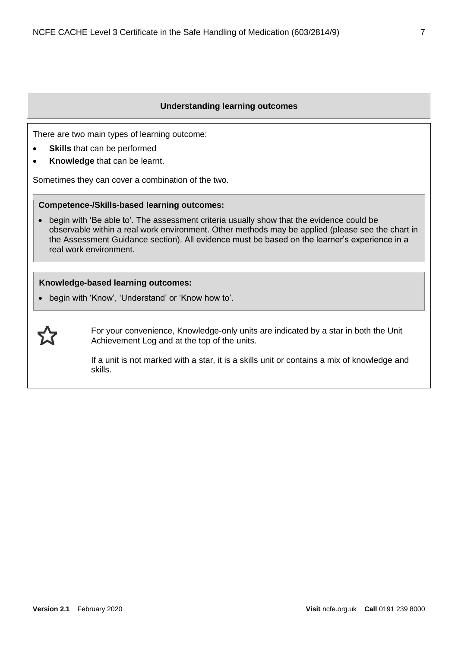### **Understanding learning outcomes**

<span id="page-6-0"></span>There are two main types of learning outcome:

- **Skills** that can be performed
- **Knowledge** that can be learnt.

Sometimes they can cover a combination of the two.

#### **Competence-/Skills-based learning outcomes:**

• begin with 'Be able to'. The assessment criteria usually show that the evidence could be observable within a real work environment. Other methods may be applied (please see the chart in the Assessment Guidance section). All evidence must be based on the learner's experience in a real work environment.

## **Knowledge-based learning outcomes:**

• begin with 'Know', 'Understand' or 'Know how to'.



For your convenience, Knowledge-only units are indicated by a star in both the Unit Achievement Log and at the top of the units.

If a unit is not marked with a star, it is a skills unit or contains a mix of knowledge and skills.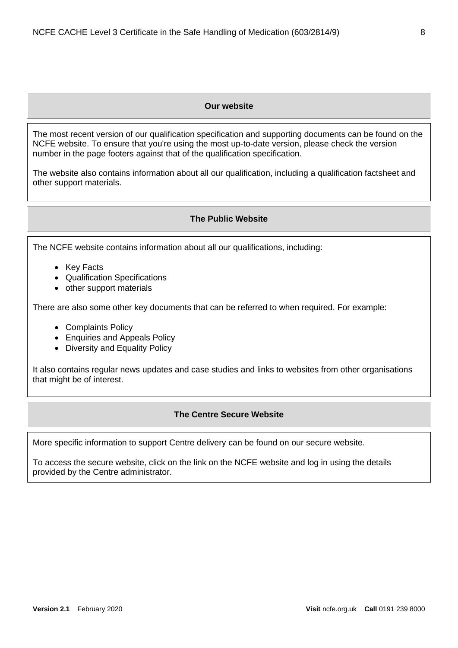## **Our website**

<span id="page-7-0"></span>The most recent version of our qualification specification and supporting documents can be found on the NCFE website. To ensure that you're using the most up-to-date version, please check the version number in the page footers against that of the qualification specification.

<span id="page-7-1"></span>The website also contains information about all our qualification, including a qualification factsheet and other support materials.

#### **The Public Website**

The NCFE website contains information about all our qualifications, including:

- Key Facts
- Qualification Specifications
- other support materials

There are also some other key documents that can be referred to when required. For example:

- Complaints Policy
- Enquiries and Appeals Policy
- Diversity and Equality Policy

<span id="page-7-2"></span>It also contains regular news updates and case studies and links to websites from other organisations that might be of interest.

#### **The Centre Secure Website**

More specific information to support Centre delivery can be found on our secure website.

To access the secure website, click on the link on the NCFE website and log in using the details provided by the Centre administrator.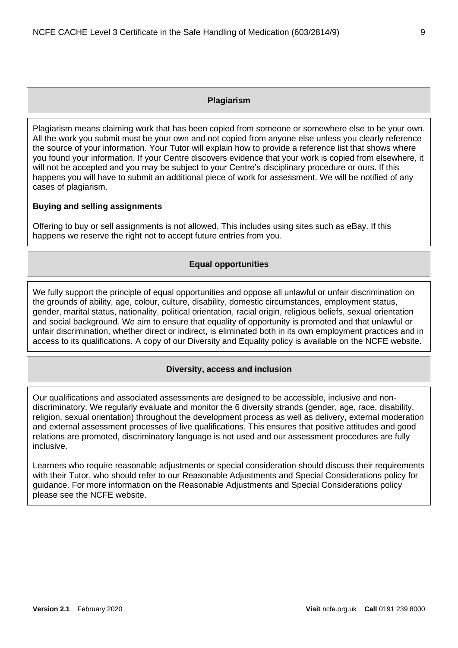## **Plagiarism**

<span id="page-8-0"></span>Plagiarism means claiming work that has been copied from someone or somewhere else to be your own. All the work you submit must be your own and not copied from anyone else unless you clearly reference the source of your information. Your Tutor will explain how to provide a reference list that shows where you found your information. If your Centre discovers evidence that your work is copied from elsewhere, it will not be accepted and you may be subject to your Centre's disciplinary procedure or ours. If this happens you will have to submit an additional piece of work for assessment. We will be notified of any cases of plagiarism.

#### **Buying and selling assignments**

<span id="page-8-1"></span>Offering to buy or sell assignments is not allowed. This includes using sites such as eBay. If this happens we reserve the right not to accept future entries from you.

## **Equal opportunities**

We fully support the principle of equal opportunities and oppose all unlawful or unfair discrimination on the grounds of ability, age, colour, culture, disability, domestic circumstances, employment status, gender, marital status, nationality, political orientation, racial origin, religious beliefs, sexual orientation and social background. We aim to ensure that equality of opportunity is promoted and that unlawful or unfair discrimination, whether direct or indirect, is eliminated both in its own employment practices and in access to its qualifications. A copy of our Diversity and Equality policy is available on the NCFE website.

#### **Diversity, access and inclusion**

<span id="page-8-2"></span>Our qualifications and associated assessments are designed to be accessible, inclusive and nondiscriminatory. We regularly evaluate and monitor the 6 diversity strands (gender, age, race, disability, religion, sexual orientation) throughout the development process as well as delivery, external moderation and external assessment processes of live qualifications. This ensures that positive attitudes and good relations are promoted, discriminatory language is not used and our assessment procedures are fully inclusive.

Learners who require reasonable adjustments or special consideration should discuss their requirements with their Tutor, who should refer to our Reasonable Adjustments and Special Considerations policy for guidance. For more information on the Reasonable Adjustments and Special Considerations policy please see the NCFE website.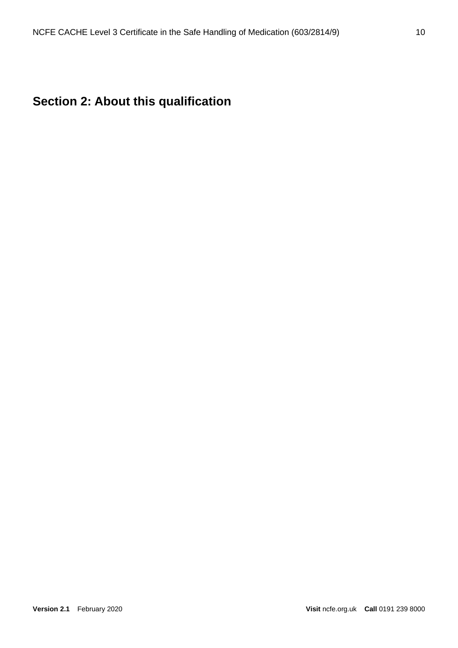# <span id="page-9-0"></span>**Section 2: About this qualification**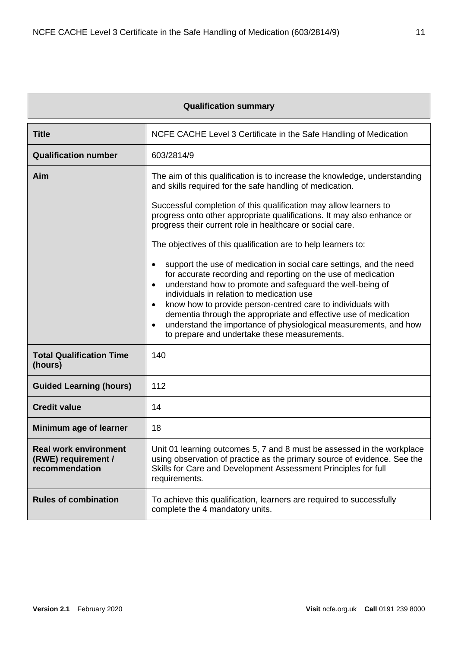<span id="page-10-0"></span>

| <b>Qualification summary</b>                                          |                                                                                                                                                                                                                                                                                                                                                                                                                                                                                                                                                           |  |  |  |  |
|-----------------------------------------------------------------------|-----------------------------------------------------------------------------------------------------------------------------------------------------------------------------------------------------------------------------------------------------------------------------------------------------------------------------------------------------------------------------------------------------------------------------------------------------------------------------------------------------------------------------------------------------------|--|--|--|--|
| <b>Title</b>                                                          | NCFE CACHE Level 3 Certificate in the Safe Handling of Medication                                                                                                                                                                                                                                                                                                                                                                                                                                                                                         |  |  |  |  |
| <b>Qualification number</b>                                           | 603/2814/9                                                                                                                                                                                                                                                                                                                                                                                                                                                                                                                                                |  |  |  |  |
| Aim                                                                   | The aim of this qualification is to increase the knowledge, understanding<br>and skills required for the safe handling of medication.                                                                                                                                                                                                                                                                                                                                                                                                                     |  |  |  |  |
|                                                                       | Successful completion of this qualification may allow learners to<br>progress onto other appropriate qualifications. It may also enhance or<br>progress their current role in healthcare or social care.                                                                                                                                                                                                                                                                                                                                                  |  |  |  |  |
|                                                                       | The objectives of this qualification are to help learners to:                                                                                                                                                                                                                                                                                                                                                                                                                                                                                             |  |  |  |  |
|                                                                       | support the use of medication in social care settings, and the need<br>$\bullet$<br>for accurate recording and reporting on the use of medication<br>understand how to promote and safeguard the well-being of<br>$\bullet$<br>individuals in relation to medication use<br>know how to provide person-centred care to individuals with<br>$\bullet$<br>dementia through the appropriate and effective use of medication<br>understand the importance of physiological measurements, and how<br>$\bullet$<br>to prepare and undertake these measurements. |  |  |  |  |
| <b>Total Qualification Time</b><br>(hours)                            | 140                                                                                                                                                                                                                                                                                                                                                                                                                                                                                                                                                       |  |  |  |  |
| <b>Guided Learning (hours)</b>                                        | 112                                                                                                                                                                                                                                                                                                                                                                                                                                                                                                                                                       |  |  |  |  |
| <b>Credit value</b>                                                   | 14                                                                                                                                                                                                                                                                                                                                                                                                                                                                                                                                                        |  |  |  |  |
| Minimum age of learner                                                | 18                                                                                                                                                                                                                                                                                                                                                                                                                                                                                                                                                        |  |  |  |  |
| <b>Real work environment</b><br>(RWE) requirement /<br>recommendation | Unit 01 learning outcomes 5, 7 and 8 must be assessed in the workplace<br>using observation of practice as the primary source of evidence. See the<br>Skills for Care and Development Assessment Principles for full<br>requirements.                                                                                                                                                                                                                                                                                                                     |  |  |  |  |
| <b>Rules of combination</b>                                           | To achieve this qualification, learners are required to successfully<br>complete the 4 mandatory units.                                                                                                                                                                                                                                                                                                                                                                                                                                                   |  |  |  |  |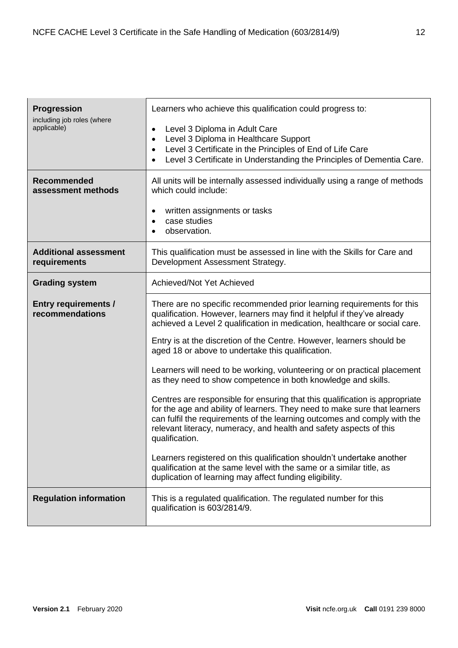| <b>Progression</b><br>including job roles (where<br>applicable)<br><b>Recommended</b><br>assessment methods | Learners who achieve this qualification could progress to:<br>Level 3 Diploma in Adult Care<br>$\bullet$<br>Level 3 Diploma in Healthcare Support<br>$\bullet$<br>Level 3 Certificate in the Principles of End of Life Care<br>$\bullet$<br>Level 3 Certificate in Understanding the Principles of Dementia Care.<br>$\bullet$<br>All units will be internally assessed individually using a range of methods<br>which could include:                                                                      |
|-------------------------------------------------------------------------------------------------------------|------------------------------------------------------------------------------------------------------------------------------------------------------------------------------------------------------------------------------------------------------------------------------------------------------------------------------------------------------------------------------------------------------------------------------------------------------------------------------------------------------------|
|                                                                                                             | written assignments or tasks<br>٠<br>case studies<br>$\bullet$<br>observation.<br>$\bullet$                                                                                                                                                                                                                                                                                                                                                                                                                |
| <b>Additional assessment</b><br>requirements                                                                | This qualification must be assessed in line with the Skills for Care and<br>Development Assessment Strategy.                                                                                                                                                                                                                                                                                                                                                                                               |
| <b>Grading system</b>                                                                                       | Achieved/Not Yet Achieved                                                                                                                                                                                                                                                                                                                                                                                                                                                                                  |
| <b>Entry requirements /</b><br>recommendations                                                              | There are no specific recommended prior learning requirements for this<br>qualification. However, learners may find it helpful if they've already<br>achieved a Level 2 qualification in medication, healthcare or social care.<br>Entry is at the discretion of the Centre. However, learners should be<br>aged 18 or above to undertake this qualification.<br>Learners will need to be working, volunteering or on practical placement<br>as they need to show competence in both knowledge and skills. |
|                                                                                                             | Centres are responsible for ensuring that this qualification is appropriate<br>for the age and ability of learners. They need to make sure that learners<br>can fulfil the requirements of the learning outcomes and comply with the<br>relevant literacy, numeracy, and health and safety aspects of this<br>qualification.                                                                                                                                                                               |
|                                                                                                             | Learners registered on this qualification shouldn't undertake another<br>qualification at the same level with the same or a similar title, as<br>duplication of learning may affect funding eligibility.                                                                                                                                                                                                                                                                                                   |
| <b>Regulation information</b>                                                                               | This is a regulated qualification. The regulated number for this<br>qualification is 603/2814/9.                                                                                                                                                                                                                                                                                                                                                                                                           |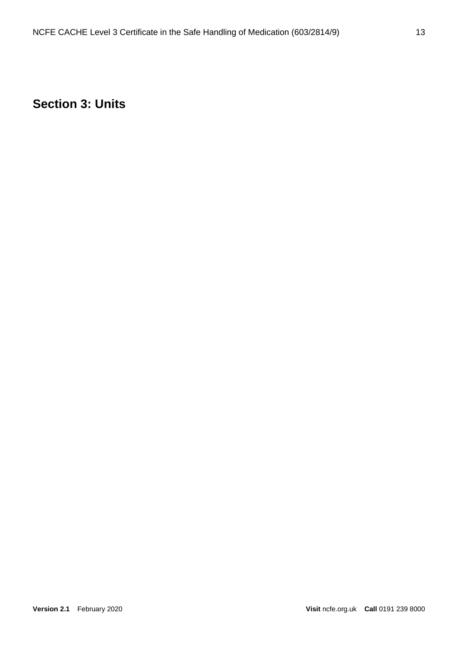# <span id="page-12-0"></span>**Section 3: Units**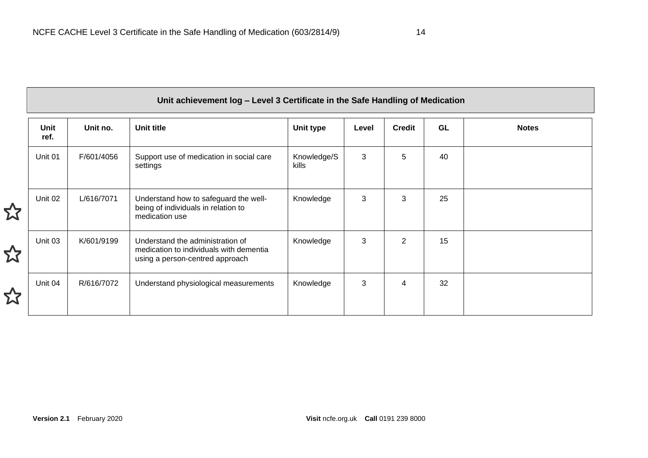<span id="page-13-0"></span>

| Unit achievement log - Level 3 Certificate in the Safe Handling of Medication |            |                                                                                                                |                      |       |               |    |              |
|-------------------------------------------------------------------------------|------------|----------------------------------------------------------------------------------------------------------------|----------------------|-------|---------------|----|--------------|
| <b>Unit</b><br>ref.                                                           | Unit no.   | Unit title                                                                                                     | Unit type            | Level | <b>Credit</b> | GL | <b>Notes</b> |
| Unit 01                                                                       | F/601/4056 | Support use of medication in social care<br>settings                                                           | Knowledge/S<br>kills | 3     | 5             | 40 |              |
| Unit 02                                                                       | L/616/7071 | Understand how to safeguard the well-<br>being of individuals in relation to<br>medication use                 | Knowledge            | 3     | 3             | 25 |              |
| Unit 03                                                                       | K/601/9199 | Understand the administration of<br>medication to individuals with dementia<br>using a person-centred approach | Knowledge            | 3     | 2             | 15 |              |
| Unit 04                                                                       | R/616/7072 | Understand physiological measurements                                                                          | Knowledge            | 3     | 4             | 32 |              |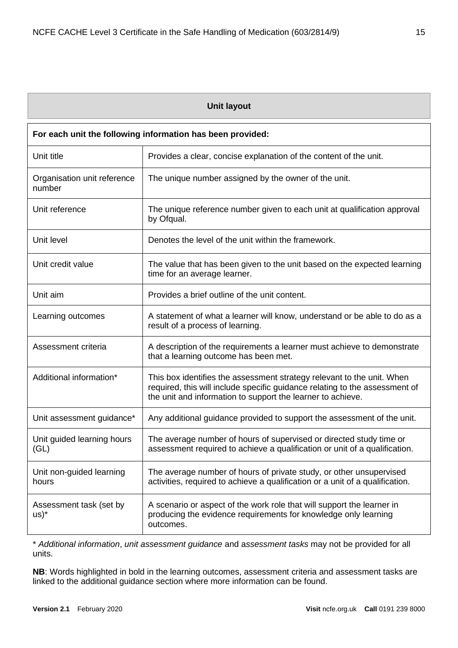|  | Unit layout |
|--|-------------|
|--|-------------|

<span id="page-14-0"></span>

| For each unit the following information has been provided: |                                                                                                                                                                                                                      |  |  |  |
|------------------------------------------------------------|----------------------------------------------------------------------------------------------------------------------------------------------------------------------------------------------------------------------|--|--|--|
| Unit title                                                 | Provides a clear, concise explanation of the content of the unit.                                                                                                                                                    |  |  |  |
| Organisation unit reference<br>number                      | The unique number assigned by the owner of the unit.                                                                                                                                                                 |  |  |  |
| Unit reference                                             | The unique reference number given to each unit at qualification approval<br>by Ofqual.                                                                                                                               |  |  |  |
| Unit level                                                 | Denotes the level of the unit within the framework.                                                                                                                                                                  |  |  |  |
| Unit credit value                                          | The value that has been given to the unit based on the expected learning<br>time for an average learner.                                                                                                             |  |  |  |
| Unit aim                                                   | Provides a brief outline of the unit content.                                                                                                                                                                        |  |  |  |
| Learning outcomes                                          | A statement of what a learner will know, understand or be able to do as a<br>result of a process of learning.                                                                                                        |  |  |  |
| Assessment criteria                                        | A description of the requirements a learner must achieve to demonstrate<br>that a learning outcome has been met.                                                                                                     |  |  |  |
| Additional information*                                    | This box identifies the assessment strategy relevant to the unit. When<br>required, this will include specific guidance relating to the assessment of<br>the unit and information to support the learner to achieve. |  |  |  |
| Unit assessment guidance*                                  | Any additional guidance provided to support the assessment of the unit.                                                                                                                                              |  |  |  |
| Unit guided learning hours<br>(GL)                         | The average number of hours of supervised or directed study time or<br>assessment required to achieve a qualification or unit of a qualification.                                                                    |  |  |  |
| Unit non-guided learning<br>hours                          | The average number of hours of private study, or other unsupervised<br>activities, required to achieve a qualification or a unit of a qualification.                                                                 |  |  |  |
| Assessment task (set by<br>$US)^*$                         | A scenario or aspect of the work role that will support the learner in<br>producing the evidence requirements for knowledge only learning<br>outcomes.                                                               |  |  |  |

\* *Additional information*, *unit assessment guidance* and a*ssessment tasks* may not be provided for all units.

**NB**: Words highlighted in bold in the learning outcomes, assessment criteria and assessment tasks are linked to the additional guidance section where more information can be found.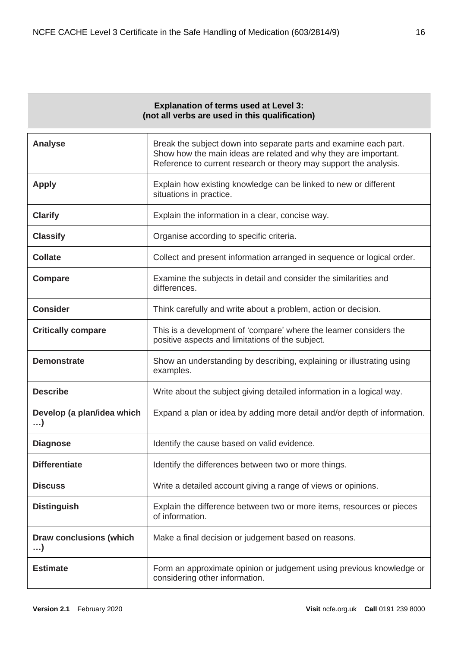<span id="page-15-0"></span>

| <b>Explanation of terms used at Level 3:</b><br>(not all verbs are used in this qualification) |                                                                                                                                                                                                           |  |  |  |
|------------------------------------------------------------------------------------------------|-----------------------------------------------------------------------------------------------------------------------------------------------------------------------------------------------------------|--|--|--|
| <b>Analyse</b>                                                                                 | Break the subject down into separate parts and examine each part.<br>Show how the main ideas are related and why they are important.<br>Reference to current research or theory may support the analysis. |  |  |  |
| <b>Apply</b>                                                                                   | Explain how existing knowledge can be linked to new or different<br>situations in practice.                                                                                                               |  |  |  |
| <b>Clarify</b>                                                                                 | Explain the information in a clear, concise way.                                                                                                                                                          |  |  |  |
| <b>Classify</b>                                                                                | Organise according to specific criteria.                                                                                                                                                                  |  |  |  |
| <b>Collate</b>                                                                                 | Collect and present information arranged in sequence or logical order.                                                                                                                                    |  |  |  |
| <b>Compare</b>                                                                                 | Examine the subjects in detail and consider the similarities and<br>differences.                                                                                                                          |  |  |  |
| <b>Consider</b>                                                                                | Think carefully and write about a problem, action or decision.                                                                                                                                            |  |  |  |
| <b>Critically compare</b>                                                                      | This is a development of 'compare' where the learner considers the<br>positive aspects and limitations of the subject.                                                                                    |  |  |  |
| <b>Demonstrate</b>                                                                             | Show an understanding by describing, explaining or illustrating using<br>examples.                                                                                                                        |  |  |  |
| <b>Describe</b>                                                                                | Write about the subject giving detailed information in a logical way.                                                                                                                                     |  |  |  |
| Develop (a plan/idea which<br>$\ldots$                                                         | Expand a plan or idea by adding more detail and/or depth of information.                                                                                                                                  |  |  |  |
| <b>Diagnose</b>                                                                                | Identify the cause based on valid evidence                                                                                                                                                                |  |  |  |
| <b>Differentiate</b>                                                                           | Identify the differences between two or more things.                                                                                                                                                      |  |  |  |
| <b>Discuss</b>                                                                                 | Write a detailed account giving a range of views or opinions.                                                                                                                                             |  |  |  |
| <b>Distinguish</b>                                                                             | Explain the difference between two or more items, resources or pieces<br>of information.                                                                                                                  |  |  |  |
| <b>Draw conclusions (which</b><br>$\ldots$                                                     | Make a final decision or judgement based on reasons.                                                                                                                                                      |  |  |  |
| <b>Estimate</b>                                                                                | Form an approximate opinion or judgement using previous knowledge or<br>considering other information.                                                                                                    |  |  |  |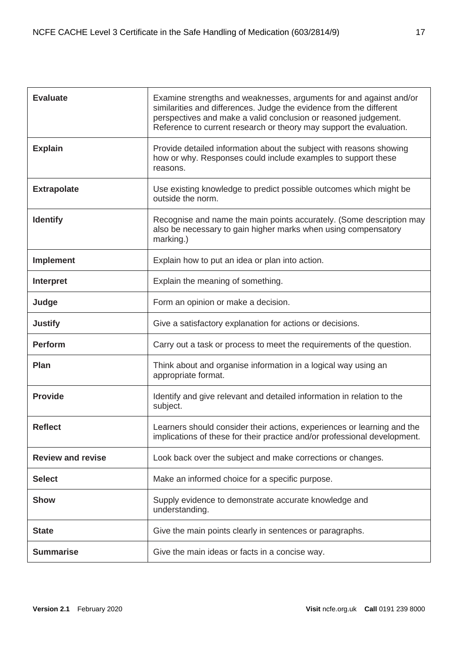| <b>Evaluate</b>          | Examine strengths and weaknesses, arguments for and against and/or<br>similarities and differences. Judge the evidence from the different<br>perspectives and make a valid conclusion or reasoned judgement.<br>Reference to current research or theory may support the evaluation. |
|--------------------------|-------------------------------------------------------------------------------------------------------------------------------------------------------------------------------------------------------------------------------------------------------------------------------------|
| <b>Explain</b>           | Provide detailed information about the subject with reasons showing<br>how or why. Responses could include examples to support these<br>reasons.                                                                                                                                    |
| <b>Extrapolate</b>       | Use existing knowledge to predict possible outcomes which might be<br>outside the norm.                                                                                                                                                                                             |
| <b>Identify</b>          | Recognise and name the main points accurately. (Some description may<br>also be necessary to gain higher marks when using compensatory<br>marking.)                                                                                                                                 |
| <b>Implement</b>         | Explain how to put an idea or plan into action.                                                                                                                                                                                                                                     |
| Interpret                | Explain the meaning of something.                                                                                                                                                                                                                                                   |
| Judge                    | Form an opinion or make a decision.                                                                                                                                                                                                                                                 |
| <b>Justify</b>           | Give a satisfactory explanation for actions or decisions.                                                                                                                                                                                                                           |
| <b>Perform</b>           | Carry out a task or process to meet the requirements of the question.                                                                                                                                                                                                               |
| Plan                     | Think about and organise information in a logical way using an<br>appropriate format.                                                                                                                                                                                               |
| <b>Provide</b>           | Identify and give relevant and detailed information in relation to the<br>subject.                                                                                                                                                                                                  |
| <b>Reflect</b>           | Learners should consider their actions, experiences or learning and the<br>implications of these for their practice and/or professional development.                                                                                                                                |
| <b>Review and revise</b> | Look back over the subject and make corrections or changes.                                                                                                                                                                                                                         |
| <b>Select</b>            | Make an informed choice for a specific purpose.                                                                                                                                                                                                                                     |
| <b>Show</b>              | Supply evidence to demonstrate accurate knowledge and<br>understanding.                                                                                                                                                                                                             |
| <b>State</b>             | Give the main points clearly in sentences or paragraphs.                                                                                                                                                                                                                            |
| <b>Summarise</b>         | Give the main ideas or facts in a concise way.                                                                                                                                                                                                                                      |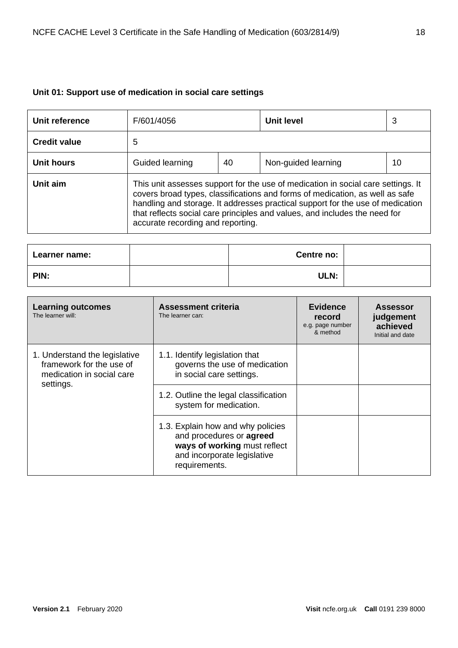# <span id="page-17-0"></span>**Unit 01: Support use of medication in social care settings**

| Unit reference      | F/601/4056                                                                                                                                                                                                                                                                                                                                                            |  | <b>Unit level</b> | 3 |  |  |
|---------------------|-----------------------------------------------------------------------------------------------------------------------------------------------------------------------------------------------------------------------------------------------------------------------------------------------------------------------------------------------------------------------|--|-------------------|---|--|--|
| <b>Credit value</b> | 5                                                                                                                                                                                                                                                                                                                                                                     |  |                   |   |  |  |
| Unit hours          | Guided learning<br>40<br>Non-guided learning<br>10                                                                                                                                                                                                                                                                                                                    |  |                   |   |  |  |
| Unit aim            | This unit assesses support for the use of medication in social care settings. It<br>covers broad types, classifications and forms of medication, as well as safe<br>handling and storage. It addresses practical support for the use of medication<br>that reflects social care principles and values, and includes the need for<br>accurate recording and reporting. |  |                   |   |  |  |

| Learner name: | Centre no: |  |
|---------------|------------|--|
| PIN:          | ULN:       |  |

| <b>Learning outcomes</b><br>The learner will:                                                       | Assessment criteria<br>The learner can:                                                                                                       | <b>Evidence</b><br>record<br>e.g. page number<br>& method | <b>Assessor</b><br>judgement<br>achieved<br>Initial and date |
|-----------------------------------------------------------------------------------------------------|-----------------------------------------------------------------------------------------------------------------------------------------------|-----------------------------------------------------------|--------------------------------------------------------------|
| 1. Understand the legislative<br>framework for the use of<br>medication in social care<br>settings. | 1.1. Identify legislation that<br>governs the use of medication<br>in social care settings.                                                   |                                                           |                                                              |
|                                                                                                     | 1.2. Outline the legal classification<br>system for medication.                                                                               |                                                           |                                                              |
|                                                                                                     | 1.3. Explain how and why policies<br>and procedures or agreed<br>ways of working must reflect<br>and incorporate legislative<br>requirements. |                                                           |                                                              |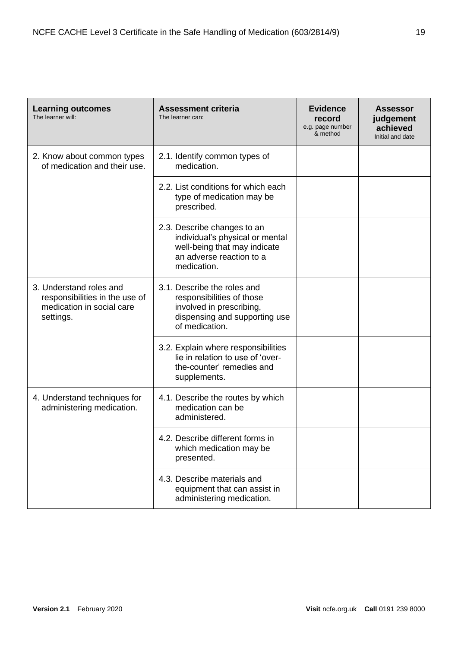| <b>Learning outcomes</b><br>The learner will:                                                       | <b>Assessment criteria</b><br>The learner can:                                                                                            | <b>Evidence</b><br>record<br>e.g. page number<br>& method | <b>Assessor</b><br>judgement<br>achieved<br>Initial and date |
|-----------------------------------------------------------------------------------------------------|-------------------------------------------------------------------------------------------------------------------------------------------|-----------------------------------------------------------|--------------------------------------------------------------|
| 2. Know about common types<br>of medication and their use.                                          | 2.1. Identify common types of<br>medication.                                                                                              |                                                           |                                                              |
|                                                                                                     | 2.2. List conditions for which each<br>type of medication may be<br>prescribed.                                                           |                                                           |                                                              |
|                                                                                                     | 2.3. Describe changes to an<br>individual's physical or mental<br>well-being that may indicate<br>an adverse reaction to a<br>medication. |                                                           |                                                              |
| 3. Understand roles and<br>responsibilities in the use of<br>medication in social care<br>settings. | 3.1. Describe the roles and<br>responsibilities of those<br>involved in prescribing,<br>dispensing and supporting use<br>of medication.   |                                                           |                                                              |
|                                                                                                     | 3.2. Explain where responsibilities<br>lie in relation to use of 'over-<br>the-counter' remedies and<br>supplements.                      |                                                           |                                                              |
| 4. Understand techniques for<br>administering medication.                                           | 4.1. Describe the routes by which<br>medication can be<br>administered.                                                                   |                                                           |                                                              |
|                                                                                                     | 4.2. Describe different forms in<br>which medication may be<br>presented.                                                                 |                                                           |                                                              |
|                                                                                                     | 4.3. Describe materials and<br>equipment that can assist in<br>administering medication.                                                  |                                                           |                                                              |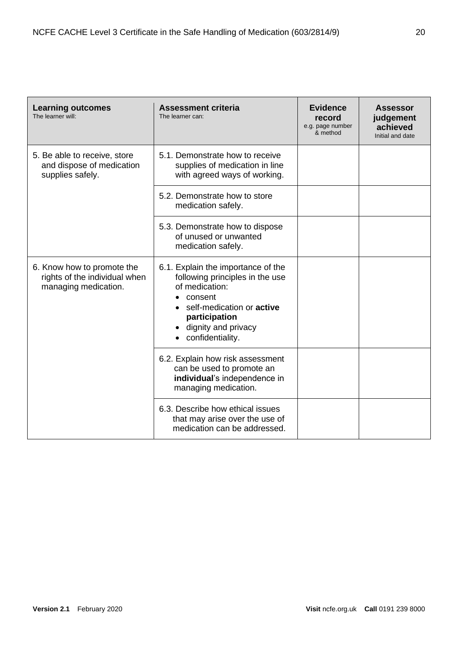| <b>Learning outcomes</b><br>The learner will:                                       | <b>Assessment criteria</b><br>The learner can:                                                                                                                                                     | <b>Evidence</b><br>record<br>e.g. page number<br>& method | <b>Assessor</b><br>judgement<br>achieved<br>Initial and date |
|-------------------------------------------------------------------------------------|----------------------------------------------------------------------------------------------------------------------------------------------------------------------------------------------------|-----------------------------------------------------------|--------------------------------------------------------------|
| 5. Be able to receive, store<br>and dispose of medication<br>supplies safely.       | 5.1. Demonstrate how to receive<br>supplies of medication in line<br>with agreed ways of working.                                                                                                  |                                                           |                                                              |
|                                                                                     | 5.2. Demonstrate how to store<br>medication safely.                                                                                                                                                |                                                           |                                                              |
|                                                                                     | 5.3. Demonstrate how to dispose<br>of unused or unwanted<br>medication safely.                                                                                                                     |                                                           |                                                              |
| 6. Know how to promote the<br>rights of the individual when<br>managing medication. | 6.1. Explain the importance of the<br>following principles in the use<br>of medication:<br>consent<br>self-medication or <b>active</b><br>participation<br>dignity and privacy<br>confidentiality. |                                                           |                                                              |
|                                                                                     | 6.2. Explain how risk assessment<br>can be used to promote an<br>individual's independence in<br>managing medication.                                                                              |                                                           |                                                              |
|                                                                                     | 6.3. Describe how ethical issues<br>that may arise over the use of<br>medication can be addressed.                                                                                                 |                                                           |                                                              |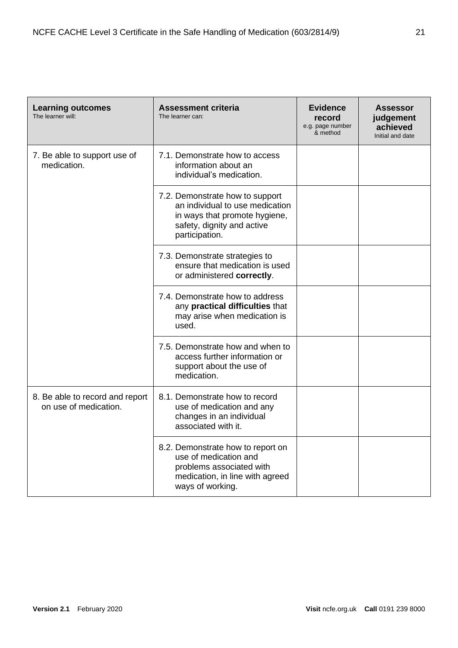| <b>Learning outcomes</b><br>The learner will:            | <b>Assessment criteria</b><br>The learner can:                                                                                                      | <b>Evidence</b><br>record<br>e.g. page number<br>& method | <b>Assessor</b><br>judgement<br>achieved<br>Initial and date |
|----------------------------------------------------------|-----------------------------------------------------------------------------------------------------------------------------------------------------|-----------------------------------------------------------|--------------------------------------------------------------|
| 7. Be able to support use of<br>medication.              | 7.1. Demonstrate how to access<br>information about an<br>individual's medication.                                                                  |                                                           |                                                              |
|                                                          | 7.2. Demonstrate how to support<br>an individual to use medication<br>in ways that promote hygiene,<br>safety, dignity and active<br>participation. |                                                           |                                                              |
|                                                          | 7.3. Demonstrate strategies to<br>ensure that medication is used<br>or administered correctly.                                                      |                                                           |                                                              |
|                                                          | 7.4. Demonstrate how to address<br>any practical difficulties that<br>may arise when medication is<br>used.                                         |                                                           |                                                              |
|                                                          | 7.5. Demonstrate how and when to<br>access further information or<br>support about the use of<br>medication.                                        |                                                           |                                                              |
| 8. Be able to record and report<br>on use of medication. | 8.1. Demonstrate how to record<br>use of medication and any<br>changes in an individual<br>associated with it.                                      |                                                           |                                                              |
|                                                          | 8.2. Demonstrate how to report on<br>use of medication and<br>problems associated with<br>medication, in line with agreed<br>ways of working.       |                                                           |                                                              |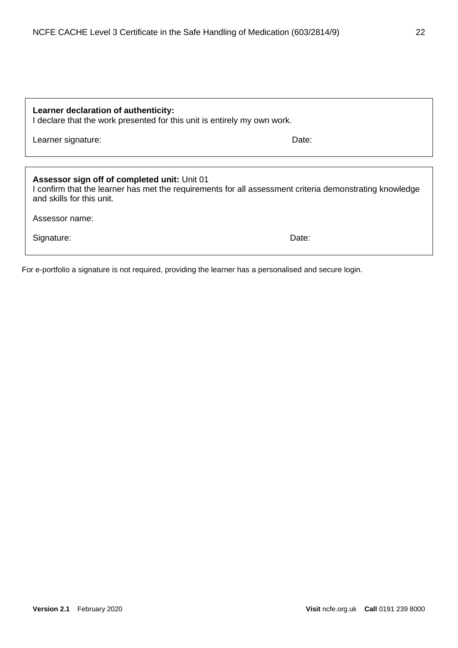| Learner declaration of authenticity:<br>I declare that the work presented for this unit is entirely my own work.                                                                     |       |  |  |
|--------------------------------------------------------------------------------------------------------------------------------------------------------------------------------------|-------|--|--|
| Learner signature:                                                                                                                                                                   | Date: |  |  |
|                                                                                                                                                                                      |       |  |  |
| Assessor sign off of completed unit: Unit 01<br>I confirm that the learner has met the requirements for all assessment criteria demonstrating knowledge<br>and skills for this unit. |       |  |  |
| Assessor name:                                                                                                                                                                       |       |  |  |
| Signature:                                                                                                                                                                           | Date: |  |  |
|                                                                                                                                                                                      |       |  |  |

For e-portfolio a signature is not required, providing the learner has a personalised and secure login.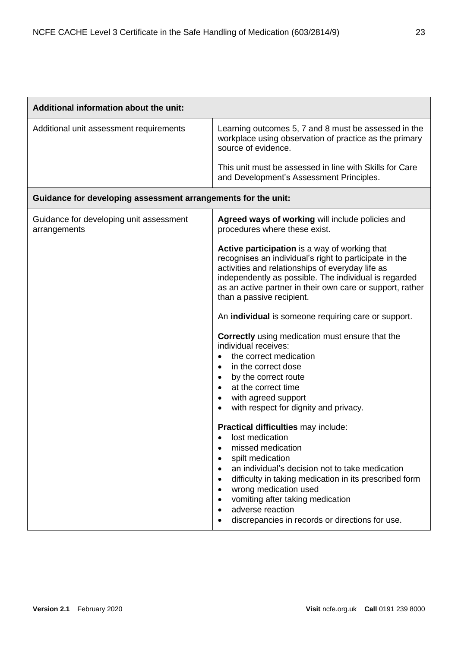| Additional information about the unit:                        |                                                                                                                                                                                                                                                                                                                                                                                                                                                                                                                                                                                                                                                                                                              |
|---------------------------------------------------------------|--------------------------------------------------------------------------------------------------------------------------------------------------------------------------------------------------------------------------------------------------------------------------------------------------------------------------------------------------------------------------------------------------------------------------------------------------------------------------------------------------------------------------------------------------------------------------------------------------------------------------------------------------------------------------------------------------------------|
| Additional unit assessment requirements                       | Learning outcomes 5, 7 and 8 must be assessed in the<br>workplace using observation of practice as the primary<br>source of evidence.                                                                                                                                                                                                                                                                                                                                                                                                                                                                                                                                                                        |
|                                                               | This unit must be assessed in line with Skills for Care<br>and Development's Assessment Principles.                                                                                                                                                                                                                                                                                                                                                                                                                                                                                                                                                                                                          |
| Guidance for developing assessment arrangements for the unit: |                                                                                                                                                                                                                                                                                                                                                                                                                                                                                                                                                                                                                                                                                                              |
| Guidance for developing unit assessment<br>arrangements       | Agreed ways of working will include policies and<br>procedures where these exist.                                                                                                                                                                                                                                                                                                                                                                                                                                                                                                                                                                                                                            |
|                                                               | Active participation is a way of working that<br>recognises an individual's right to participate in the<br>activities and relationships of everyday life as<br>independently as possible. The individual is regarded<br>as an active partner in their own care or support, rather<br>than a passive recipient.<br>An <b>individual</b> is someone requiring care or support.<br><b>Correctly</b> using medication must ensure that the<br>individual receives:<br>the correct medication<br>$\bullet$<br>in the correct dose<br>$\bullet$<br>by the correct route<br>$\bullet$<br>at the correct time<br>$\bullet$<br>with agreed support<br>$\bullet$<br>with respect for dignity and privacy.<br>$\bullet$ |
|                                                               | Practical difficulties may include:<br>lost medication<br>missed medication<br>$\bullet$<br>spilt medication<br>$\bullet$<br>an individual's decision not to take medication<br>$\bullet$<br>difficulty in taking medication in its prescribed form<br>$\bullet$<br>wrong medication used<br>$\bullet$<br>vomiting after taking medication<br>$\bullet$<br>adverse reaction<br>$\bullet$<br>discrepancies in records or directions for use.                                                                                                                                                                                                                                                                  |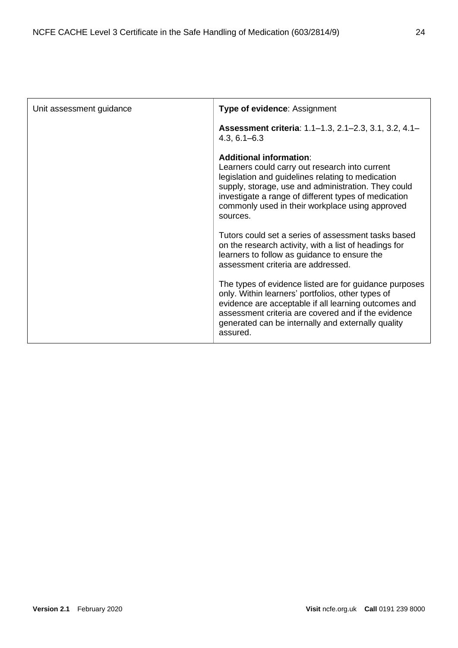| Unit assessment guidance | <b>Type of evidence: Assignment</b>                                                                                                                                                                                                                                                                          |
|--------------------------|--------------------------------------------------------------------------------------------------------------------------------------------------------------------------------------------------------------------------------------------------------------------------------------------------------------|
|                          | Assessment criteria: 1.1-1.3, 2.1-2.3, 3.1, 3.2, 4.1-<br>$4.3, 6.1 - 6.3$                                                                                                                                                                                                                                    |
|                          | Additional information:<br>Learners could carry out research into current<br>legislation and guidelines relating to medication<br>supply, storage, use and administration. They could<br>investigate a range of different types of medication<br>commonly used in their workplace using approved<br>sources. |
|                          | Tutors could set a series of assessment tasks based<br>on the research activity, with a list of headings for<br>learners to follow as guidance to ensure the<br>assessment criteria are addressed.                                                                                                           |
|                          | The types of evidence listed are for guidance purposes<br>only. Within learners' portfolios, other types of<br>evidence are acceptable if all learning outcomes and<br>assessment criteria are covered and if the evidence<br>generated can be internally and externally quality<br>assured.                 |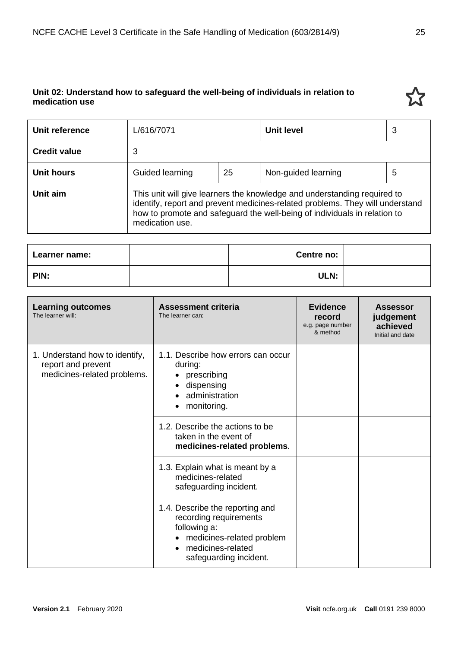# <span id="page-24-0"></span>**Unit 02: Understand how to safeguard the well-being of individuals in relation to medication use**

| Unit reference      | L/616/7071      |    | <b>Unit level</b>                                                                                                                                                                                                                      | 3 |
|---------------------|-----------------|----|----------------------------------------------------------------------------------------------------------------------------------------------------------------------------------------------------------------------------------------|---|
| <b>Credit value</b> | 3               |    |                                                                                                                                                                                                                                        |   |
| <b>Unit hours</b>   | Guided learning | 25 | Non-guided learning                                                                                                                                                                                                                    | 5 |
| Unit aim            | medication use. |    | This unit will give learners the knowledge and understanding required to<br>identify, report and prevent medicines-related problems. They will understand<br>how to promote and safeguard the well-being of individuals in relation to |   |

| Learner name: | Centre no: |  |
|---------------|------------|--|
| PIN:          | ULN:       |  |

| <b>Learning outcomes</b><br>The learner will:                                       | <b>Assessment criteria</b><br>The learner can:                                                                                                        | <b>Evidence</b><br>record<br>e.g. page number<br>& method | <b>Assessor</b><br>judgement<br>achieved<br>Initial and date |
|-------------------------------------------------------------------------------------|-------------------------------------------------------------------------------------------------------------------------------------------------------|-----------------------------------------------------------|--------------------------------------------------------------|
| 1. Understand how to identify,<br>report and prevent<br>medicines-related problems. | 1.1. Describe how errors can occur<br>during:<br>prescribing<br>$\bullet$<br>dispensing<br>$\bullet$<br>administration<br>monitoring.                 |                                                           |                                                              |
|                                                                                     | 1.2. Describe the actions to be<br>taken in the event of<br>medicines-related problems.                                                               |                                                           |                                                              |
|                                                                                     | 1.3. Explain what is meant by a<br>medicines-related<br>safeguarding incident.                                                                        |                                                           |                                                              |
|                                                                                     | 1.4. Describe the reporting and<br>recording requirements<br>following a:<br>medicines-related problem<br>medicines-related<br>safeguarding incident. |                                                           |                                                              |

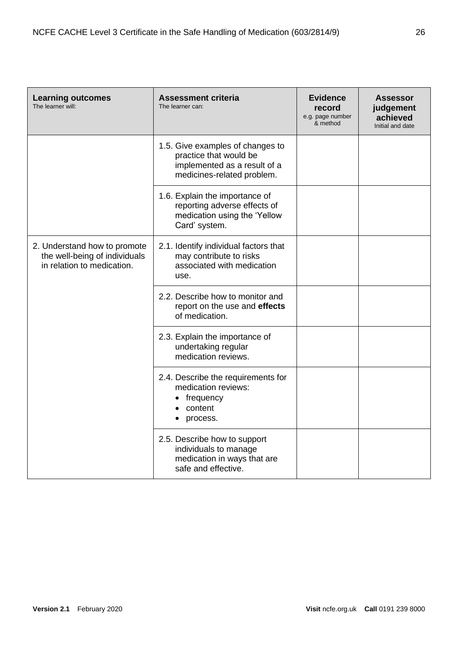| <b>Learning outcomes</b><br>The learner will:                                               | <b>Assessment criteria</b><br>The learner can:                                                                           | <b>Evidence</b><br>record<br>e.g. page number<br>& method | <b>Assessor</b><br>judgement<br>achieved<br>Initial and date |
|---------------------------------------------------------------------------------------------|--------------------------------------------------------------------------------------------------------------------------|-----------------------------------------------------------|--------------------------------------------------------------|
|                                                                                             | 1.5. Give examples of changes to<br>practice that would be<br>implemented as a result of a<br>medicines-related problem. |                                                           |                                                              |
|                                                                                             | 1.6. Explain the importance of<br>reporting adverse effects of<br>medication using the 'Yellow<br>Card' system.          |                                                           |                                                              |
| 2. Understand how to promote<br>the well-being of individuals<br>in relation to medication. | 2.1. Identify individual factors that<br>may contribute to risks<br>associated with medication<br>use.                   |                                                           |                                                              |
|                                                                                             | 2.2. Describe how to monitor and<br>report on the use and effects<br>of medication.                                      |                                                           |                                                              |
|                                                                                             | 2.3. Explain the importance of<br>undertaking regular<br>medication reviews.                                             |                                                           |                                                              |
|                                                                                             | 2.4. Describe the requirements for<br>medication reviews:<br>frequency<br>content<br>process.                            |                                                           |                                                              |
|                                                                                             | 2.5. Describe how to support<br>individuals to manage<br>medication in ways that are<br>safe and effective.              |                                                           |                                                              |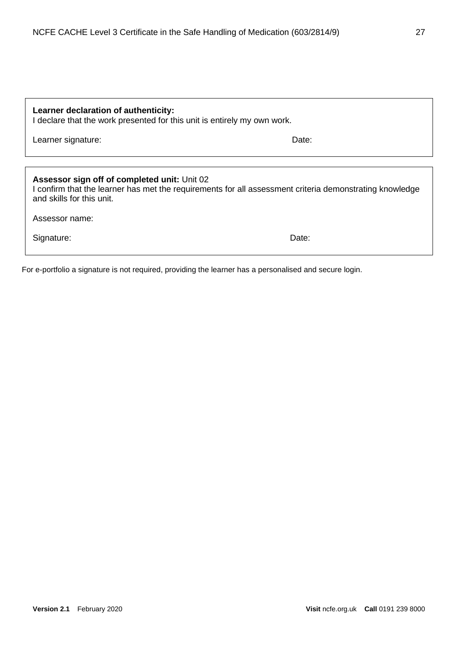| Learner declaration of authenticity:<br>I declare that the work presented for this unit is entirely my own work.                                                                     |       |  |  |
|--------------------------------------------------------------------------------------------------------------------------------------------------------------------------------------|-------|--|--|
| Learner signature:                                                                                                                                                                   | Date: |  |  |
|                                                                                                                                                                                      |       |  |  |
| Assessor sign off of completed unit: Unit 02<br>I confirm that the learner has met the requirements for all assessment criteria demonstrating knowledge<br>and skills for this unit. |       |  |  |
| Assessor name:                                                                                                                                                                       |       |  |  |
| Signature:                                                                                                                                                                           | Date: |  |  |
|                                                                                                                                                                                      |       |  |  |

For e-portfolio a signature is not required, providing the learner has a personalised and secure login.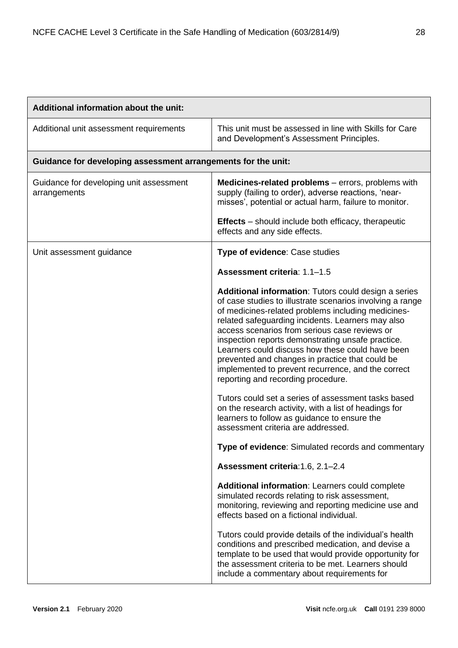| Additional information about the unit:                        |                                                                                                                                                                                                                                                                                                                                                                                                                                                                                                                                                                                              |  |  |
|---------------------------------------------------------------|----------------------------------------------------------------------------------------------------------------------------------------------------------------------------------------------------------------------------------------------------------------------------------------------------------------------------------------------------------------------------------------------------------------------------------------------------------------------------------------------------------------------------------------------------------------------------------------------|--|--|
| Additional unit assessment requirements                       | This unit must be assessed in line with Skills for Care<br>and Development's Assessment Principles.                                                                                                                                                                                                                                                                                                                                                                                                                                                                                          |  |  |
| Guidance for developing assessment arrangements for the unit: |                                                                                                                                                                                                                                                                                                                                                                                                                                                                                                                                                                                              |  |  |
| Guidance for developing unit assessment<br>arrangements       | Medicines-related problems - errors, problems with<br>supply (failing to order), adverse reactions, 'near-<br>misses', potential or actual harm, failure to monitor.                                                                                                                                                                                                                                                                                                                                                                                                                         |  |  |
|                                                               | <b>Effects</b> – should include both efficacy, therapeutic<br>effects and any side effects.                                                                                                                                                                                                                                                                                                                                                                                                                                                                                                  |  |  |
| Unit assessment guidance                                      | Type of evidence: Case studies                                                                                                                                                                                                                                                                                                                                                                                                                                                                                                                                                               |  |  |
|                                                               | Assessment criteria: 1.1-1.5                                                                                                                                                                                                                                                                                                                                                                                                                                                                                                                                                                 |  |  |
|                                                               | Additional information: Tutors could design a series<br>of case studies to illustrate scenarios involving a range<br>of medicines-related problems including medicines-<br>related safeguarding incidents. Learners may also<br>access scenarios from serious case reviews or<br>inspection reports demonstrating unsafe practice.<br>Learners could discuss how these could have been<br>prevented and changes in practice that could be<br>implemented to prevent recurrence, and the correct<br>reporting and recording procedure.<br>Tutors could set a series of assessment tasks based |  |  |
|                                                               | on the research activity, with a list of headings for<br>learners to follow as guidance to ensure the<br>assessment criteria are addressed.                                                                                                                                                                                                                                                                                                                                                                                                                                                  |  |  |
|                                                               | Type of evidence: Simulated records and commentary                                                                                                                                                                                                                                                                                                                                                                                                                                                                                                                                           |  |  |
|                                                               | Assessment criteria: 1.6, 2.1-2.4                                                                                                                                                                                                                                                                                                                                                                                                                                                                                                                                                            |  |  |
|                                                               | Additional information: Learners could complete<br>simulated records relating to risk assessment,<br>monitoring, reviewing and reporting medicine use and<br>effects based on a fictional individual.                                                                                                                                                                                                                                                                                                                                                                                        |  |  |
|                                                               | Tutors could provide details of the individual's health<br>conditions and prescribed medication, and devise a<br>template to be used that would provide opportunity for<br>the assessment criteria to be met. Learners should<br>include a commentary about requirements for                                                                                                                                                                                                                                                                                                                 |  |  |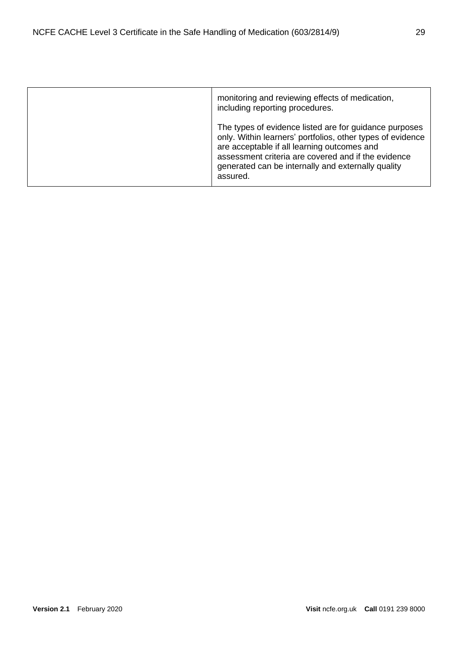| monitoring and reviewing effects of medication,<br>including reporting procedures.                                                                                                                                                                                                           |
|----------------------------------------------------------------------------------------------------------------------------------------------------------------------------------------------------------------------------------------------------------------------------------------------|
| The types of evidence listed are for guidance purposes<br>only. Within learners' portfolios, other types of evidence<br>are acceptable if all learning outcomes and<br>assessment criteria are covered and if the evidence<br>generated can be internally and externally quality<br>assured. |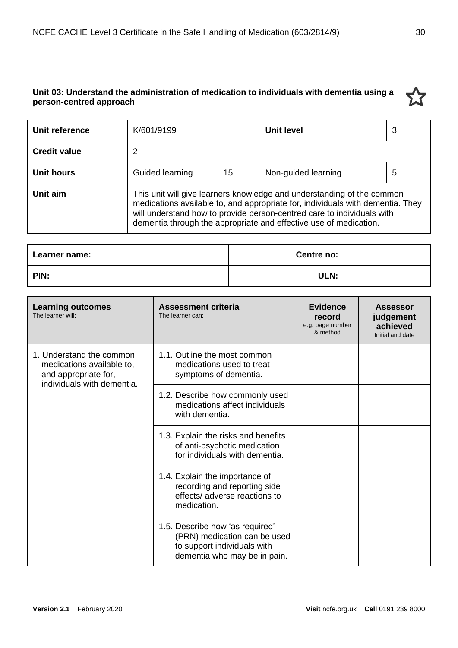# <span id="page-29-0"></span>**Unit 03: Understand the administration of medication to individuals with dementia using a person-centred approach**



| Learner name: | Centre no: |  |
|---------------|------------|--|
| PIN:          | ULN:       |  |

| <b>Learning outcomes</b><br>The learner will:                                                               | Assessment criteria<br>The learner can:                                                                                        | <b>Evidence</b><br>record<br>e.g. page number<br>& method | <b>Assessor</b><br>judgement<br>achieved<br>Initial and date |
|-------------------------------------------------------------------------------------------------------------|--------------------------------------------------------------------------------------------------------------------------------|-----------------------------------------------------------|--------------------------------------------------------------|
| 1. Understand the common<br>medications available to,<br>and appropriate for,<br>individuals with dementia. | 1.1. Outline the most common<br>medications used to treat<br>symptoms of dementia.                                             |                                                           |                                                              |
|                                                                                                             | 1.2. Describe how commonly used<br>medications affect individuals<br>with dementia.                                            |                                                           |                                                              |
|                                                                                                             | 1.3. Explain the risks and benefits<br>of anti-psychotic medication<br>for individuals with dementia.                          |                                                           |                                                              |
|                                                                                                             | 1.4. Explain the importance of<br>recording and reporting side<br>effects/adverse reactions to<br>medication.                  |                                                           |                                                              |
|                                                                                                             | 1.5. Describe how 'as required'<br>(PRN) medication can be used<br>to support individuals with<br>dementia who may be in pain. |                                                           |                                                              |

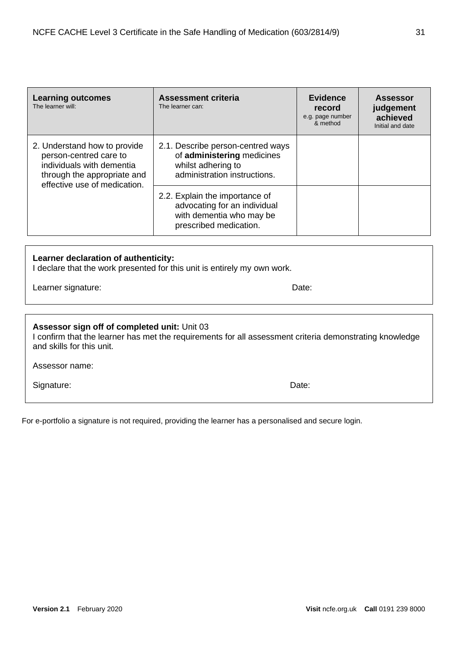| <b>Learning outcomes</b><br>The learner will:                                                                                                      | <b>Assessment criteria</b><br>The learner can:                                                                        | <b>Evidence</b><br>record<br>e.g. page number<br>& method | <b>Assessor</b><br>judgement<br>achieved<br>Initial and date |
|----------------------------------------------------------------------------------------------------------------------------------------------------|-----------------------------------------------------------------------------------------------------------------------|-----------------------------------------------------------|--------------------------------------------------------------|
| 2. Understand how to provide<br>person-centred care to<br>individuals with dementia<br>through the appropriate and<br>effective use of medication. | 2.1. Describe person-centred ways<br>of administering medicines<br>whilst adhering to<br>administration instructions. |                                                           |                                                              |
|                                                                                                                                                    | 2.2. Explain the importance of<br>advocating for an individual<br>with dementia who may be<br>prescribed medication.  |                                                           |                                                              |

# **Learner declaration of authenticity:**

I declare that the work presented for this unit is entirely my own work.

Learner signature: Date:

| Assessor sign off of completed unit: Unit 03<br>I confirm that the learner has met the requirements for all assessment criteria demonstrating knowledge<br>and skills for this unit. |  |
|--------------------------------------------------------------------------------------------------------------------------------------------------------------------------------------|--|
| Assessor name:                                                                                                                                                                       |  |

Signature: Date: Date: Date: Date: Date: Date: Date: Date: Date: Date: Date: Date: Date: Date: Date: Date: Date: Date: Date: Date: Date: Date: Date: Date: Date: Date: Date: Date: Date: Date: Date: Date: Date: Date: Date: D

For e-portfolio a signature is not required, providing the learner has a personalised and secure login.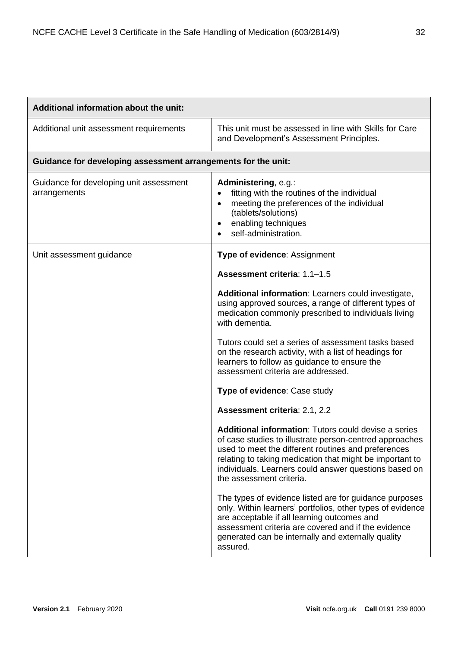| Additional information about the unit:                        |                                                                                                                                                                                                                                                                                                                         |  |  |
|---------------------------------------------------------------|-------------------------------------------------------------------------------------------------------------------------------------------------------------------------------------------------------------------------------------------------------------------------------------------------------------------------|--|--|
| Additional unit assessment requirements                       | This unit must be assessed in line with Skills for Care<br>and Development's Assessment Principles.                                                                                                                                                                                                                     |  |  |
| Guidance for developing assessment arrangements for the unit: |                                                                                                                                                                                                                                                                                                                         |  |  |
| Guidance for developing unit assessment<br>arrangements       | Administering, e.g.:<br>fitting with the routines of the individual<br>$\bullet$<br>meeting the preferences of the individual<br>$\bullet$<br>(tablets/solutions)<br>enabling techniques<br>$\bullet$<br>self-administration.                                                                                           |  |  |
| Unit assessment guidance                                      | Type of evidence: Assignment                                                                                                                                                                                                                                                                                            |  |  |
|                                                               | Assessment criteria: 1.1-1.5                                                                                                                                                                                                                                                                                            |  |  |
|                                                               | Additional information: Learners could investigate,<br>using approved sources, a range of different types of<br>medication commonly prescribed to individuals living<br>with dementia.                                                                                                                                  |  |  |
|                                                               | Tutors could set a series of assessment tasks based<br>on the research activity, with a list of headings for<br>learners to follow as guidance to ensure the<br>assessment criteria are addressed.                                                                                                                      |  |  |
|                                                               | Type of evidence: Case study                                                                                                                                                                                                                                                                                            |  |  |
|                                                               | Assessment criteria: 2.1, 2.2                                                                                                                                                                                                                                                                                           |  |  |
|                                                               | Additional information: Tutors could devise a series<br>of case studies to illustrate person-centred approaches<br>used to meet the different routines and preferences<br>relating to taking medication that might be important to<br>individuals. Learners could answer questions based on<br>the assessment criteria. |  |  |
|                                                               | The types of evidence listed are for guidance purposes<br>only. Within learners' portfolios, other types of evidence<br>are acceptable if all learning outcomes and<br>assessment criteria are covered and if the evidence<br>generated can be internally and externally quality<br>assured.                            |  |  |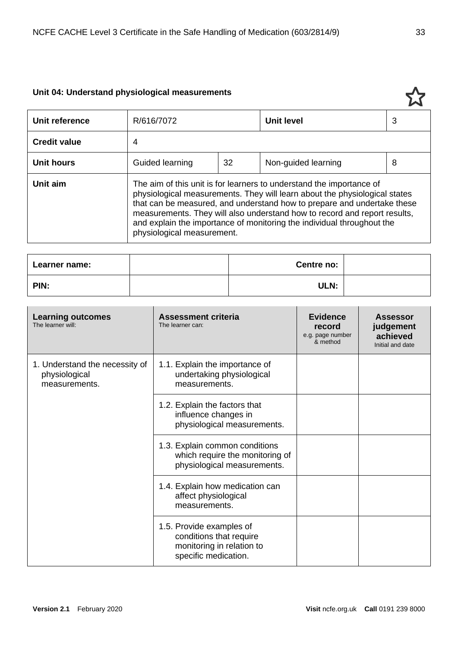# <span id="page-32-0"></span>**Unit 04: Understand physiological measurements**

| Unit reference      | R/616/7072                                                                                                                                                                                                                                                                                                                                                                                                         |    | <b>Unit level</b>   | 3 |
|---------------------|--------------------------------------------------------------------------------------------------------------------------------------------------------------------------------------------------------------------------------------------------------------------------------------------------------------------------------------------------------------------------------------------------------------------|----|---------------------|---|
| <b>Credit value</b> | 4                                                                                                                                                                                                                                                                                                                                                                                                                  |    |                     |   |
| <b>Unit hours</b>   | Guided learning                                                                                                                                                                                                                                                                                                                                                                                                    | 32 | Non-guided learning | 8 |
| Unit aim            | The aim of this unit is for learners to understand the importance of<br>physiological measurements. They will learn about the physiological states<br>that can be measured, and understand how to prepare and undertake these<br>measurements. They will also understand how to record and report results,<br>and explain the importance of monitoring the individual throughout the<br>physiological measurement. |    |                     |   |

| Learner name: | Centre no: |  |
|---------------|------------|--|
| PIN:          | ULN:       |  |

| <b>Learning outcomes</b><br>The learner will:                    | Assessment criteria<br>The learner can:                                                                  | <b>Evidence</b><br>record<br>e.g. page number<br>& method | <b>Assessor</b><br>judgement<br>achieved<br>Initial and date |
|------------------------------------------------------------------|----------------------------------------------------------------------------------------------------------|-----------------------------------------------------------|--------------------------------------------------------------|
| 1. Understand the necessity of<br>physiological<br>measurements. | 1.1. Explain the importance of<br>undertaking physiological<br>measurements.                             |                                                           |                                                              |
|                                                                  | 1.2. Explain the factors that<br>influence changes in<br>physiological measurements.                     |                                                           |                                                              |
|                                                                  | 1.3. Explain common conditions<br>which require the monitoring of<br>physiological measurements.         |                                                           |                                                              |
|                                                                  | 1.4. Explain how medication can<br>affect physiological<br>measurements.                                 |                                                           |                                                              |
|                                                                  | 1.5. Provide examples of<br>conditions that require<br>monitoring in relation to<br>specific medication. |                                                           |                                                              |

5.7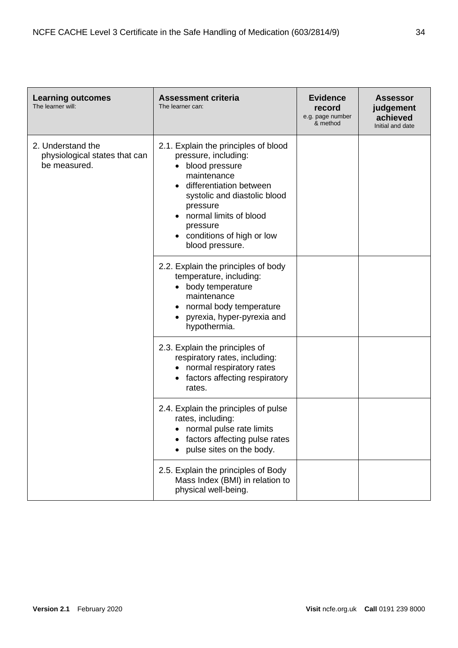| <b>Learning outcomes</b><br>The learner will:                      | <b>Assessment criteria</b><br>The learner can:                                                                                                                                                                                                             | <b>Evidence</b><br>record<br>e.g. page number<br>& method | <b>Assessor</b><br>judgement<br>achieved<br>Initial and date |
|--------------------------------------------------------------------|------------------------------------------------------------------------------------------------------------------------------------------------------------------------------------------------------------------------------------------------------------|-----------------------------------------------------------|--------------------------------------------------------------|
| 2. Understand the<br>physiological states that can<br>be measured. | 2.1. Explain the principles of blood<br>pressure, including:<br>blood pressure<br>maintenance<br>differentiation between<br>systolic and diastolic blood<br>pressure<br>normal limits of blood<br>pressure<br>conditions of high or low<br>blood pressure. |                                                           |                                                              |
|                                                                    | 2.2. Explain the principles of body<br>temperature, including:<br>body temperature<br>maintenance<br>normal body temperature<br>pyrexia, hyper-pyrexia and<br>$\bullet$<br>hypothermia.                                                                    |                                                           |                                                              |
|                                                                    | 2.3. Explain the principles of<br>respiratory rates, including:<br>normal respiratory rates<br>factors affecting respiratory<br>rates.                                                                                                                     |                                                           |                                                              |
|                                                                    | 2.4. Explain the principles of pulse<br>rates, including:<br>normal pulse rate limits<br>factors affecting pulse rates<br>pulse sites on the body.                                                                                                         |                                                           |                                                              |
|                                                                    | 2.5. Explain the principles of Body<br>Mass Index (BMI) in relation to<br>physical well-being.                                                                                                                                                             |                                                           |                                                              |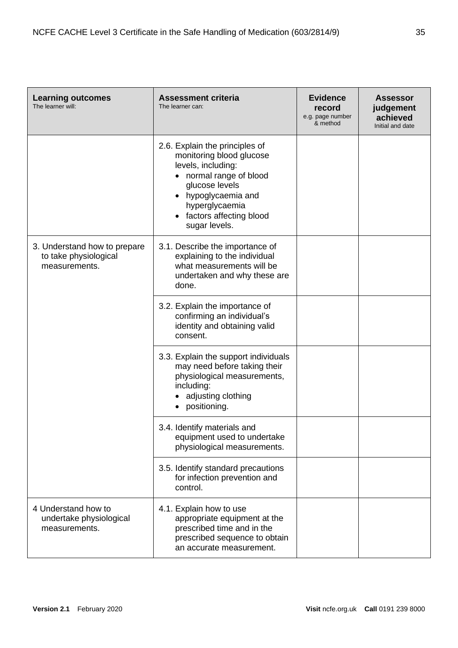| <b>Learning outcomes</b><br>The learner will:                          | <b>Assessment criteria</b><br>The learner can:                                                                                                                                                                 | <b>Evidence</b><br>record<br>e.g. page number<br>& method | <b>Assessor</b><br>judgement<br>achieved<br>Initial and date |
|------------------------------------------------------------------------|----------------------------------------------------------------------------------------------------------------------------------------------------------------------------------------------------------------|-----------------------------------------------------------|--------------------------------------------------------------|
|                                                                        | 2.6. Explain the principles of<br>monitoring blood glucose<br>levels, including:<br>normal range of blood<br>glucose levels<br>hypoglycaemia and<br>hyperglycaemia<br>factors affecting blood<br>sugar levels. |                                                           |                                                              |
| 3. Understand how to prepare<br>to take physiological<br>measurements. | 3.1. Describe the importance of<br>explaining to the individual<br>what measurements will be<br>undertaken and why these are<br>done.                                                                          |                                                           |                                                              |
|                                                                        | 3.2. Explain the importance of<br>confirming an individual's<br>identity and obtaining valid<br>consent.                                                                                                       |                                                           |                                                              |
|                                                                        | 3.3. Explain the support individuals<br>may need before taking their<br>physiological measurements,<br>including:<br>adjusting clothing<br>positioning.                                                        |                                                           |                                                              |
|                                                                        | 3.4. Identify materials and<br>equipment used to undertake<br>physiological measurements.                                                                                                                      |                                                           |                                                              |
|                                                                        | 3.5. Identify standard precautions<br>for infection prevention and<br>control.                                                                                                                                 |                                                           |                                                              |
| 4 Understand how to<br>undertake physiological<br>measurements.        | 4.1. Explain how to use<br>appropriate equipment at the<br>prescribed time and in the<br>prescribed sequence to obtain<br>an accurate measurement.                                                             |                                                           |                                                              |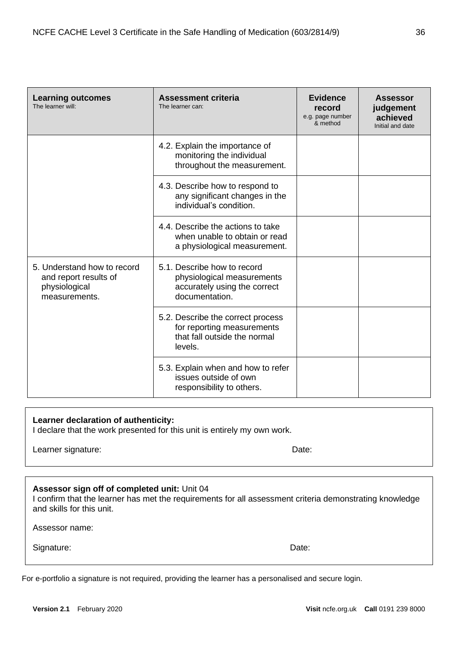| <b>Learning outcomes</b><br>The learner will:                                          | <b>Assessment criteria</b><br>The learner can:                                                              | <b>Evidence</b><br>record<br>e.g. page number<br>& method | <b>Assessor</b><br>judgement<br>achieved<br>Initial and date |
|----------------------------------------------------------------------------------------|-------------------------------------------------------------------------------------------------------------|-----------------------------------------------------------|--------------------------------------------------------------|
|                                                                                        | 4.2. Explain the importance of<br>monitoring the individual<br>throughout the measurement.                  |                                                           |                                                              |
|                                                                                        | 4.3. Describe how to respond to<br>any significant changes in the<br>individual's condition.                |                                                           |                                                              |
|                                                                                        | 4.4. Describe the actions to take<br>when unable to obtain or read<br>a physiological measurement.          |                                                           |                                                              |
| 5. Understand how to record<br>and report results of<br>physiological<br>measurements. | 5.1. Describe how to record<br>physiological measurements<br>accurately using the correct<br>documentation. |                                                           |                                                              |
|                                                                                        | 5.2. Describe the correct process<br>for reporting measurements<br>that fall outside the normal<br>levels.  |                                                           |                                                              |
|                                                                                        | 5.3. Explain when and how to refer<br>issues outside of own<br>responsibility to others.                    |                                                           |                                                              |

# **Learner declaration of authenticity:**

I declare that the work presented for this unit is entirely my own work.

Learner signature: Date:

# **Assessor sign off of completed unit:** Unit 04

I confirm that the learner has met the requirements for all assessment criteria demonstrating knowledge and skills for this unit.

Assessor name:

Signature: Date: Date: Date: Date: Date: Date: Date: Date: Date: Date: Date: Date: Date: Date: Date: Date: Date: Date: Date: Date: Date: Date: Date: Date: Date: Date: Date: Date: Date: Date: Date: Date: Date: Date: Date: D

#### For e-portfolio a signature is not required, providing the learner has a personalised and secure login.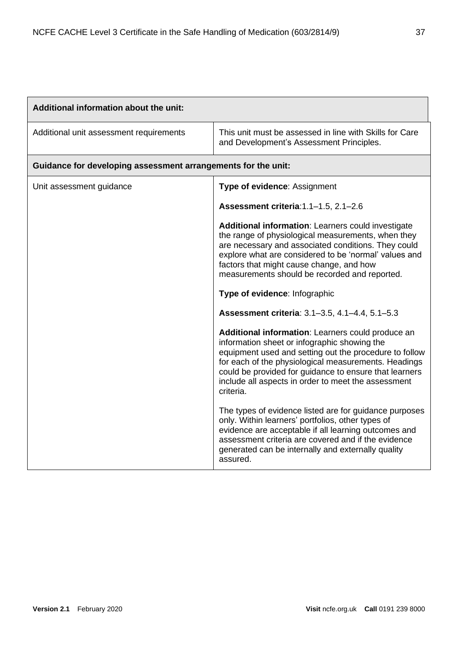| Additional information about the unit:                        |                                                                                                                                                                                                                                                                                                                                                   |  |  |  |
|---------------------------------------------------------------|---------------------------------------------------------------------------------------------------------------------------------------------------------------------------------------------------------------------------------------------------------------------------------------------------------------------------------------------------|--|--|--|
| Additional unit assessment requirements                       | This unit must be assessed in line with Skills for Care<br>and Development's Assessment Principles.                                                                                                                                                                                                                                               |  |  |  |
| Guidance for developing assessment arrangements for the unit: |                                                                                                                                                                                                                                                                                                                                                   |  |  |  |
| Unit assessment guidance                                      | Type of evidence: Assignment                                                                                                                                                                                                                                                                                                                      |  |  |  |
|                                                               | Assessment criteria: 1.1-1.5, 2.1-2.6                                                                                                                                                                                                                                                                                                             |  |  |  |
|                                                               | Additional information: Learners could investigate<br>the range of physiological measurements, when they<br>are necessary and associated conditions. They could<br>explore what are considered to be 'normal' values and<br>factors that might cause change, and how<br>measurements should be recorded and reported.                             |  |  |  |
|                                                               | Type of evidence: Infographic                                                                                                                                                                                                                                                                                                                     |  |  |  |
|                                                               | Assessment criteria: 3.1-3.5, 4.1-4.4, 5.1-5.3                                                                                                                                                                                                                                                                                                    |  |  |  |
|                                                               | Additional information: Learners could produce an<br>information sheet or infographic showing the<br>equipment used and setting out the procedure to follow<br>for each of the physiological measurements. Headings<br>could be provided for guidance to ensure that learners<br>include all aspects in order to meet the assessment<br>criteria. |  |  |  |
|                                                               | The types of evidence listed are for guidance purposes<br>only. Within learners' portfolios, other types of<br>evidence are acceptable if all learning outcomes and<br>assessment criteria are covered and if the evidence<br>generated can be internally and externally quality<br>assured.                                                      |  |  |  |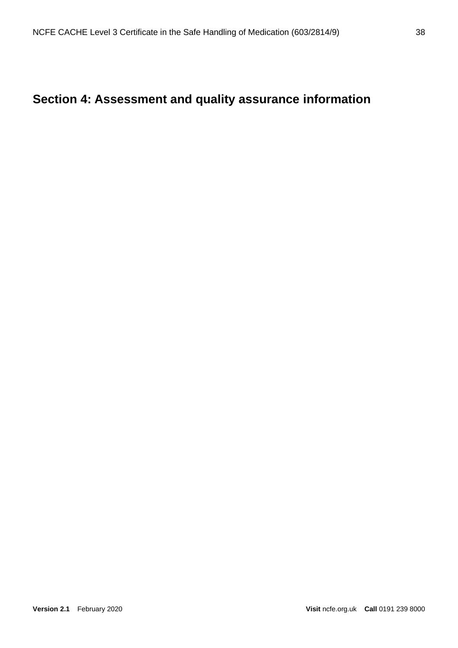# <span id="page-37-0"></span>**Section 4: Assessment and quality assurance information**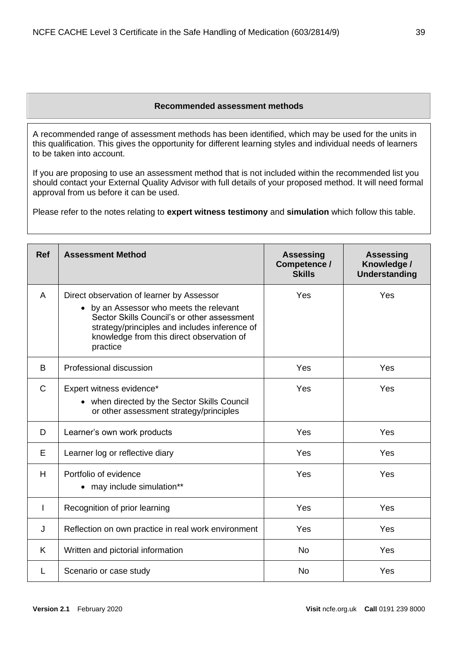#### **Recommended assessment methods**

<span id="page-38-0"></span>A recommended range of assessment methods has been identified, which may be used for the units in this qualification. This gives the opportunity for different learning styles and individual needs of learners to be taken into account.

If you are proposing to use an assessment method that is not included within the recommended list you should contact your External Quality Advisor with full details of your proposed method. It will need formal approval from us before it can be used.

Please refer to the notes relating to **expert witness testimony** and **simulation** which follow this table.

| <b>Ref</b>   | <b>Assessment Method</b>                                                                                                                                                                                                                    | <b>Assessing</b><br>Competence /<br><b>Skills</b> | <b>Assessing</b><br>Knowledge /<br><b>Understanding</b> |
|--------------|---------------------------------------------------------------------------------------------------------------------------------------------------------------------------------------------------------------------------------------------|---------------------------------------------------|---------------------------------------------------------|
| A            | Direct observation of learner by Assessor<br>by an Assessor who meets the relevant<br>Sector Skills Council's or other assessment<br>strategy/principles and includes inference of<br>knowledge from this direct observation of<br>practice | Yes                                               | Yes                                                     |
| B            | Professional discussion                                                                                                                                                                                                                     | Yes                                               | Yes                                                     |
| $\mathsf{C}$ | Expert witness evidence*<br>• when directed by the Sector Skills Council<br>or other assessment strategy/principles                                                                                                                         | Yes                                               | Yes                                                     |
| D            | Learner's own work products                                                                                                                                                                                                                 | Yes                                               | Yes                                                     |
| E            | Learner log or reflective diary                                                                                                                                                                                                             | Yes                                               | Yes                                                     |
| H            | Portfolio of evidence<br>• may include simulation**                                                                                                                                                                                         | Yes                                               | Yes                                                     |
| L            | Recognition of prior learning                                                                                                                                                                                                               | Yes                                               | Yes                                                     |
| J            | Reflection on own practice in real work environment                                                                                                                                                                                         | Yes                                               | Yes                                                     |
| K            | Written and pictorial information                                                                                                                                                                                                           | <b>No</b>                                         | Yes                                                     |
| L            | Scenario or case study                                                                                                                                                                                                                      | <b>No</b>                                         | Yes                                                     |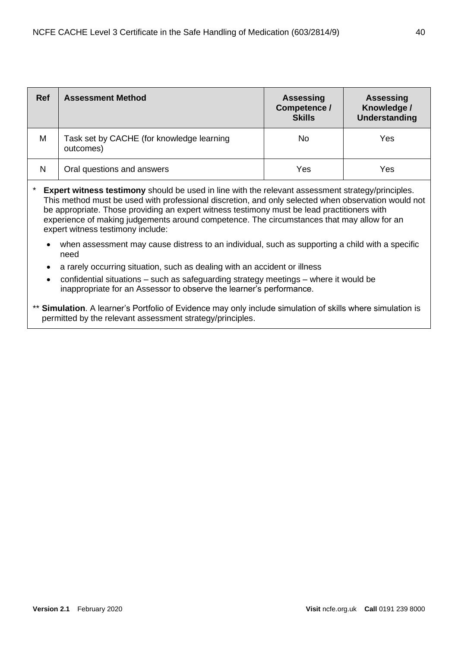| <b>Ref</b>                                                                                                                                                                                                                                                                                                                                                                                                                                                                                                                                                   | <b>Assessment Method</b>                               | <b>Assessing</b><br>Competence /<br><b>Skills</b> | <b>Assessing</b><br>Knowledge /<br><b>Understanding</b> |  |  |
|--------------------------------------------------------------------------------------------------------------------------------------------------------------------------------------------------------------------------------------------------------------------------------------------------------------------------------------------------------------------------------------------------------------------------------------------------------------------------------------------------------------------------------------------------------------|--------------------------------------------------------|---------------------------------------------------|---------------------------------------------------------|--|--|
| M                                                                                                                                                                                                                                                                                                                                                                                                                                                                                                                                                            | Task set by CACHE (for knowledge learning<br>outcomes) | No.                                               | <b>Yes</b>                                              |  |  |
| N                                                                                                                                                                                                                                                                                                                                                                                                                                                                                                                                                            | Oral questions and answers                             | Yes                                               | <b>Yes</b>                                              |  |  |
| <b>Expert witness testimony</b> should be used in line with the relevant assessment strategy/principles.<br>This method must be used with professional discretion, and only selected when observation would not<br>be appropriate. Those providing an expert witness testimony must be lead practitioners with<br>experience of making judgements around competence. The circumstances that may allow for an<br>expert witness testimony include:<br>when assessment may cause distress to an individual, such as supporting a child with a specific<br>need |                                                        |                                                   |                                                         |  |  |

- a rarely occurring situation, such as dealing with an accident or illness
- confidential situations such as safeguarding strategy meetings where it would be inappropriate for an Assessor to observe the learner's performance.
- \*\* **Simulation**. A learner's Portfolio of Evidence may only include simulation of skills where simulation is permitted by the relevant assessment strategy/principles.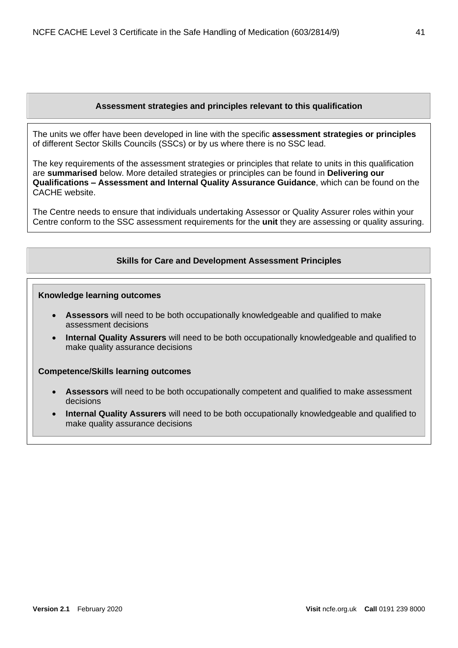#### **Assessment strategies and principles relevant to this qualification**

<span id="page-40-0"></span>The units we offer have been developed in line with the specific **assessment strategies or principles** of different Sector Skills Councils (SSCs) or by us where there is no SSC lead.

The key requirements of the assessment strategies or principles that relate to units in this qualification are **summarised** below. More detailed strategies or principles can be found in **Delivering our Qualifications – Assessment and Internal Quality Assurance Guidance**, which can be found on the CACHE website.

<span id="page-40-1"></span>The Centre needs to ensure that individuals undertaking Assessor or Quality Assurer roles within your Centre conform to the SSC assessment requirements for the **unit** they are assessing or quality assuring.

#### **Skills for Care and Development Assessment Principles**

#### **Knowledge learning outcomes**

- **Assessors** will need to be both occupationally knowledgeable and qualified to make assessment decisions
- **Internal Quality Assurers** will need to be both occupationally knowledgeable and qualified to make quality assurance decisions

#### **Competence/Skills learning outcomes**

- **Assessors** will need to be both occupationally competent and qualified to make assessment decisions
- **Internal Quality Assurers** will need to be both occupationally knowledgeable and qualified to make quality assurance decisions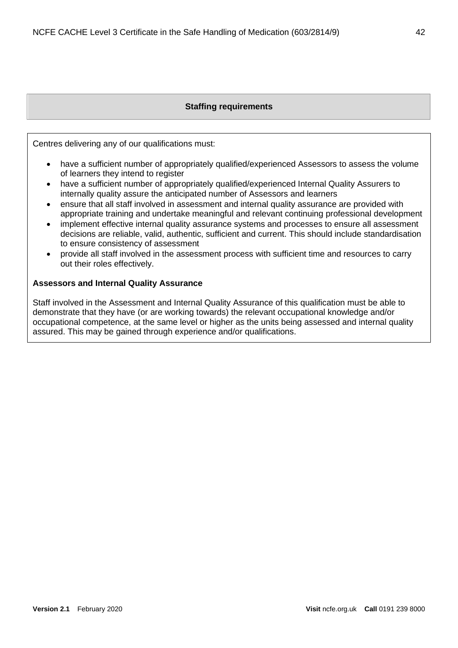# **Staffing requirements**

<span id="page-41-0"></span>Centres delivering any of our qualifications must:

- have a sufficient number of appropriately qualified/experienced Assessors to assess the volume of learners they intend to register
- have a sufficient number of appropriately qualified/experienced Internal Quality Assurers to internally quality assure the anticipated number of Assessors and learners
- ensure that all staff involved in assessment and internal quality assurance are provided with appropriate training and undertake meaningful and relevant continuing professional development
- implement effective internal quality assurance systems and processes to ensure all assessment decisions are reliable, valid, authentic, sufficient and current. This should include standardisation to ensure consistency of assessment
- provide all staff involved in the assessment process with sufficient time and resources to carry out their roles effectively.

#### <span id="page-41-1"></span>**Assessors and Internal Quality Assurance**

Staff involved in the Assessment and Internal Quality Assurance of this qualification must be able to demonstrate that they have (or are working towards) the relevant occupational knowledge and/or occupational competence, at the same level or higher as the units being assessed and internal quality assured. This may be gained through experience and/or qualifications.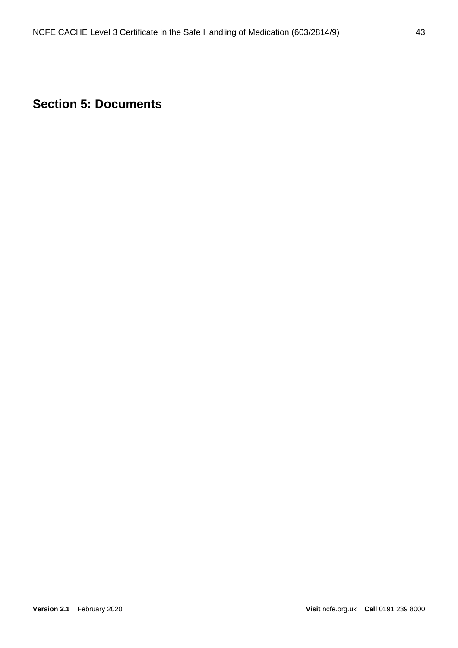# <span id="page-42-0"></span>**Section 5: Documents**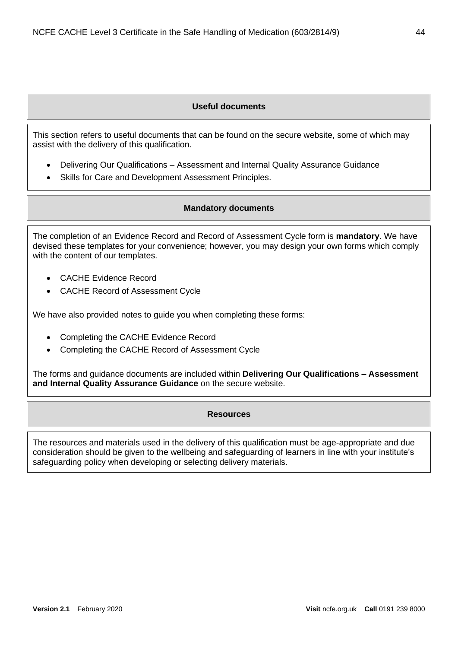# **Useful documents**

<span id="page-43-0"></span>This section refers to useful documents that can be found on the secure website, some of which may assist with the delivery of this qualification.

- Delivering Our Qualifications Assessment and Internal Quality Assurance Guidance
- <span id="page-43-1"></span>Skills for Care and Development Assessment Principles.

## **Mandatory documents**

The completion of an Evidence Record and Record of Assessment Cycle form is **mandatory**. We have devised these templates for your convenience; however, you may design your own forms which comply with the content of our templates.

- CACHE Evidence Record
- CACHE Record of Assessment Cycle

We have also provided notes to guide you when completing these forms:

- Completing the CACHE Evidence Record
- Completing the CACHE Record of Assessment Cycle

<span id="page-43-2"></span>The forms and guidance documents are included within **Delivering Our Qualifications – Assessment and Internal Quality Assurance Guidance** on the secure website.

#### **Resources**

The resources and materials used in the delivery of this qualification must be age-appropriate and due consideration should be given to the wellbeing and safeguarding of learners in line with your institute's safeguarding policy when developing or selecting delivery materials.